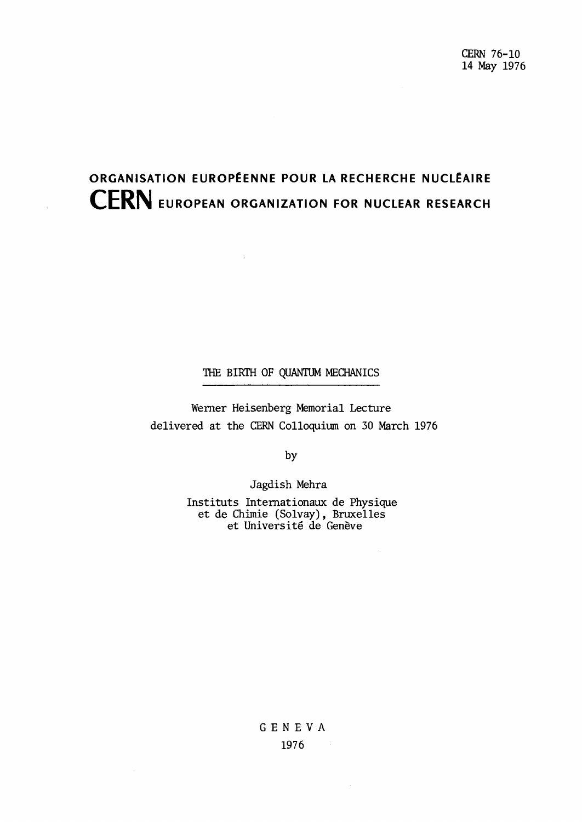# **ORGANISATION EUROPÉENNE POUR LA RECHERCHE NUCLÉAIRE CERN EUROPEAN ORGANIZATION FOR NUCLEAR RESEARCH**

 $\mathcal{L}_{\mathcal{A}}$ 

# THE BIRTH OF QUANTUM MECHANICS

Werner Heisenberg Memorial Lecture delivered at the CERN Colloquium on 30 March 1976

by

Jagdish Mehra

Instituts Internationaux de Physique et de Chimie (Solvay), Bruxelles et Université de Genève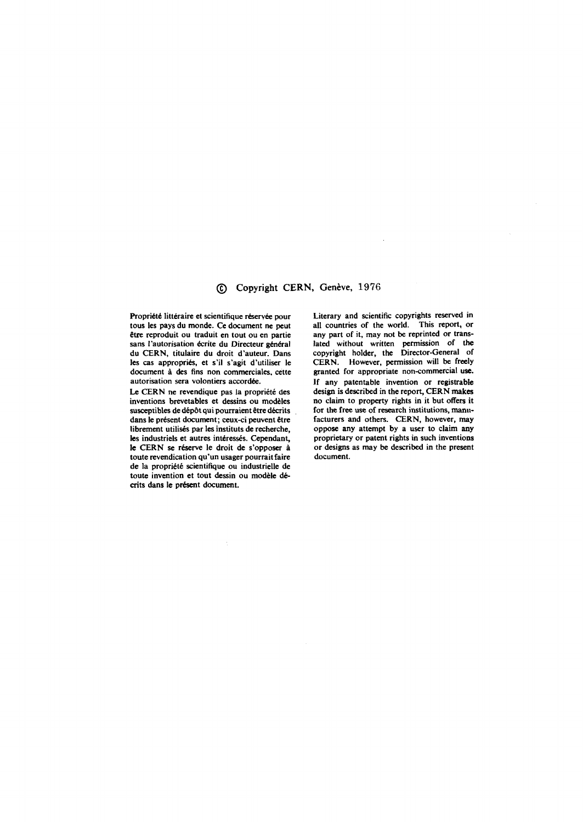#### © Copyright CERN, Genève, 1976

**Propriété littéraire et scientifique réservée pour tous les pays du monde. Ce document ne peut être reproduit ou traduit en tout ou en partie sans l'autorisation écrite du Directeur général du CERN, titulaire du droit d'auteur. Dans les cas appropriés, et s'il s'agit d'utiliser le document à des fins non commerciales, cette autorisation sera volontiers accordée.** 

**Le CERN ne revendique pas la propriété des inventions brevetables et dessins ou modèles susceptibles de dépôt qui pourraient être décrits dans le présent document; ceux-ci peuvent être librement utilisés par les instituts de recherche, les industriels et autres intéressés. Cependant, le CERN se réserve le droit de s'opposer à toute revendication qu'un usager pourrait faire de la propriété scientifique ou industrielle de toute invention et tout dessin ou modèle décrits dans le présent document.** 

**Literary and scientific copyrights reserved in all countries of the world. This report, or any part of it, may not be reprinted or translated without written permission of the**  copyright holder, the Director-General of **CERN. However, permission will be freely granted for appropriate non-commercial use. If any patentable invention or registrable design is described in the report, CERN makes no claim to property rights in it but offers it for the free use of research institutions, manufacturers and others. CERN, however, may oppose any attempt by a user to claim any proprietary or patent rights in such inventions or designs as may be described in the present document.**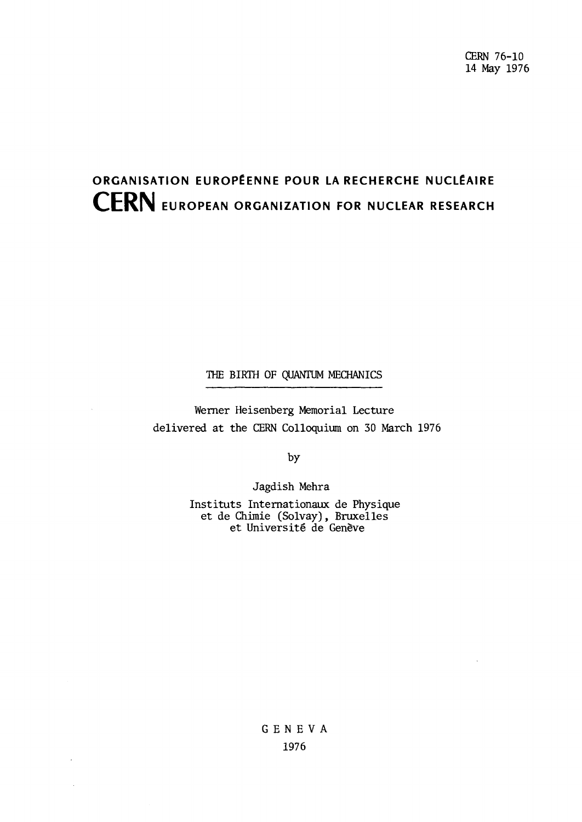# **ORGANISATION EUROPÉENNE POUR LA RECHERCHE NUCLÉAIRE CERN EUROPEAN ORGANIZATION FOR NUCLEAR RESEARCH**

# THE BIRTH OF QUANTUM MECHANICS

Werner Heisenberg Memorial Lecture delivered at the CERN Colloquium on 30 March 1976

by

Jagdish Mehra

Instituts Internationaux de Physique et de Chimie (Solvay), Bruxelles et Université de Genève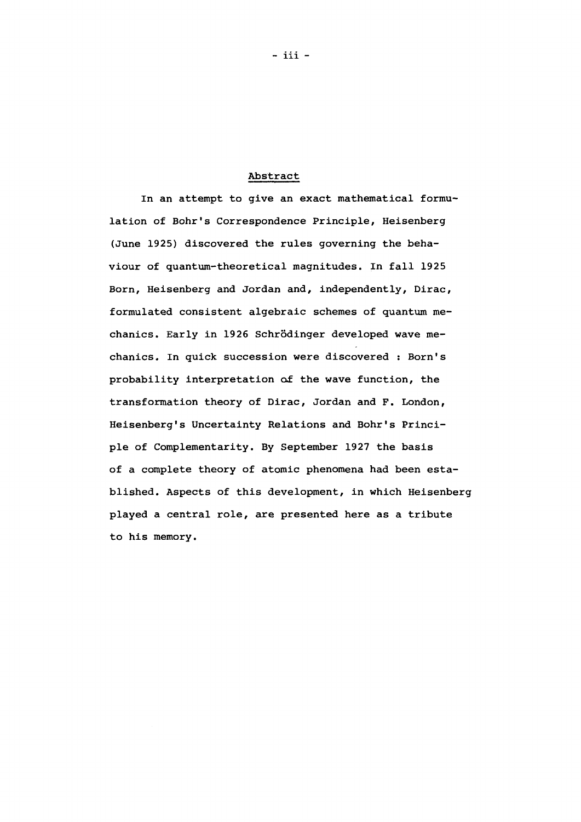## Abstract

In an attempt to give an exact mathematical formulation of Bohr's Correspondence Principle, Heisenberg (June 1925) discovered the rules governing the behaviour of quantum-theoretical magnitudes. In fall 1925 Born, Heisenberg and Jordan and, independently, Dirac, formulated consistent algebraic schemes of quantum mechanics. Early in 1926 Schrödinger developed wave mechanics. In quick succession were discovered : Born's probability interpretation of the wave function, the transformation theory of Dirac, Jordan and F. London, Heisenberg's Uncertainty Relations and Bohr's Principle of Complementarity. By September 1927 the basis of a complete theory of atomic phenomena had been established. Aspects of this development, in which Heisenberg played a central role, are presented here as a tribute to his memory.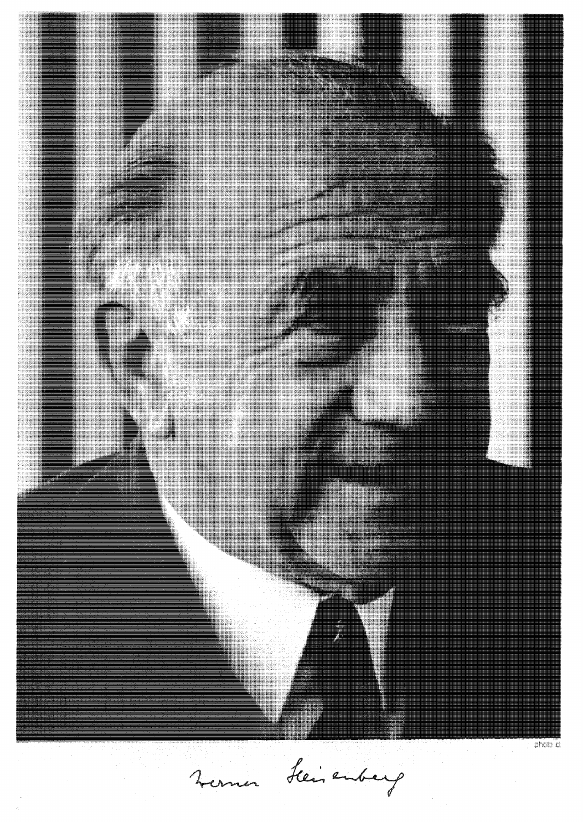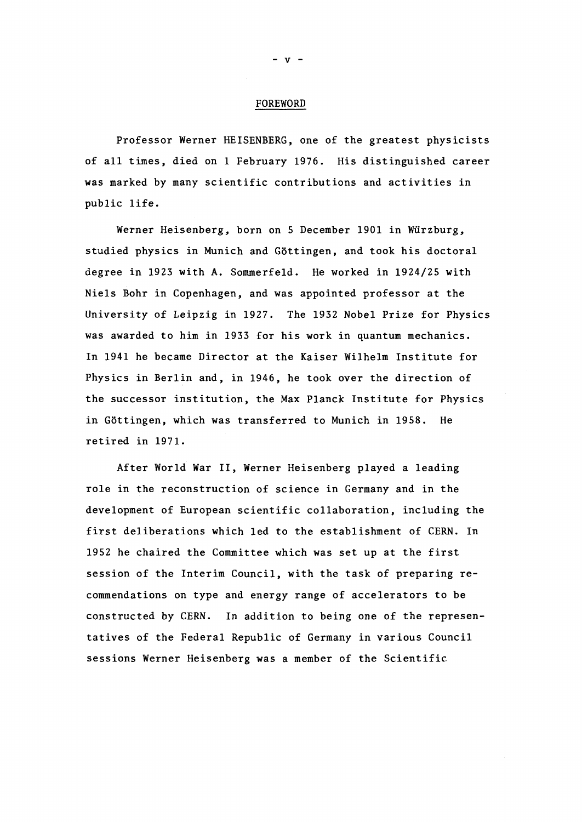#### FOREWORD

Professor Werner HEISENBERG, one of the greatest physicists of all times, died on 1 February 1976. His distinguished career was marked by many scientific contributions and activities in public life.

Werner Heisenberg, born on 5 December 1901 in Wurzburg, studied physics in Munich and Gôttingen, and took his doctoral degree in 1923 with A. Sommerfeld. He worked in 1924/25 with Niels Bohr in Copenhagen, and was appointed professor at the University of Leipzig in 1927. The 1932 Nobel Prize for Physics was awarded to him in 1933 for his work in quantum mechanics. In 1941 he became Director at the Kaiser Wilhelm Institute for Physics in Berlin and, in 1946, he took over the direction of the successor institution, the Max Planck Institute for Physics in Gôttingen, which was transferred to Munich in 1958. He retired in 1971.

After World War II, Werner Heisenberg played a leading role in the reconstruction of science in Germany and in the development of European scientific collaboration, including the first deliberations which led to the establishment of CERN. In 1952 he chaired the Committee which was set up at the first session of the Interim Council, with the task of preparing recommendations on type and energy range of accelerators to be constructed by CERN. In addition to being one of the representatives of the Federal Republic of Germany in various Council sessions Werner Heisenberg was a member of the Scientific

 $V -$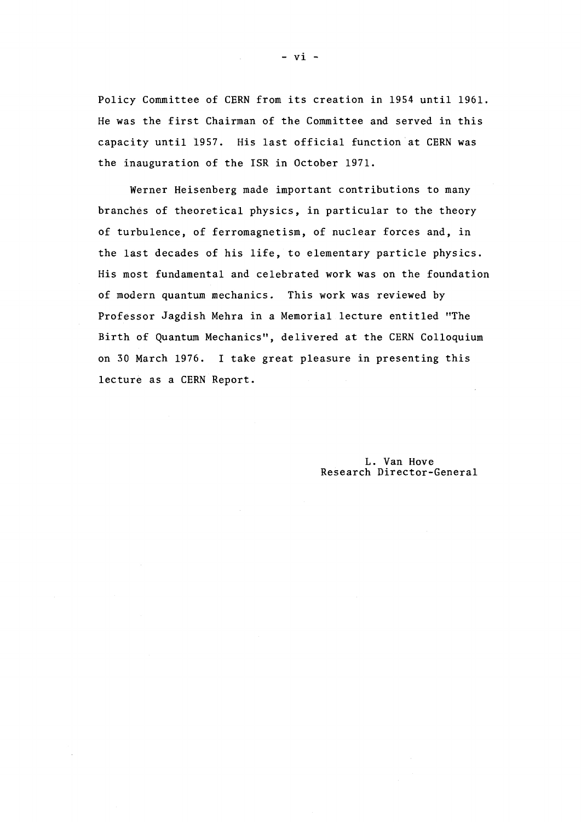Policy Committee of CERN from its creation in 1954 until 1961. He was the first Chairman of the Committee and served in this capacity until 1957. His last official function at CERN was the inauguration of the ISR in October 1971.

Werner Heisenberg made important contributions to many branches of theoretical physics, in particular to the theory of turbulence, of ferromagnetism, of nuclear forces and, in the last decades of his life, to elementary particle physics. His most fundamental and celebrated work was on the foundation of modern quantum mechanics. This work was reviewed by Professor Jagdish Mehra in a Memorial lecture entitled "The Birth of Quantum Mechanics", delivered at the CERN Colloquium on 30 March 1976. I take great pleasure in presenting this lecture as a CERN Report.

> L. Van Hove Research Director-General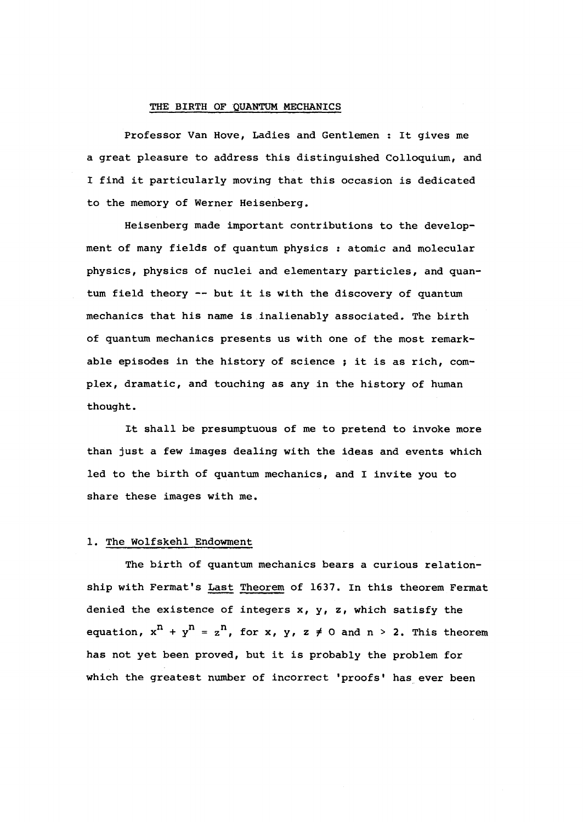#### THE BIRTH OF QUANTUM MECHANICS

Professor Van Hove, Ladies and Gentlemen : It gives me a great pleasure to address this distinguished Colloquium, and I find it particularly moving that this occasion is dedicated to the memory of Werner Heisenberg.

Heisenberg made important contributions to the development of many fields of quantum physics : atomic and molecular physics, physics of nuclei and elementary particles, and quantum field theory — but it is with the discovery of quantum mechanics that his name is inalienably associated. The birth of quantum mechanics presents us with one of the most remarkable episodes in the history of science ; it is as rich, complex, dramatic, and touching as any in the history of human thought.

It shall be presumptuous of me to pretend to invoke more than just a few images dealing with the ideas and events which led to the birth of quantum mechanics, and I invite you to share these images with me.

#### 1. The Wolfskehl Endowment

The birth of quantum mechanics bears a curious relationship with Fermat's Last Theorem of 1637. In this theorem Fermat denied the existence of integers  $x$ ,  $y$ ,  $z$ , which satisfy the equation,  $x^n + y^n = z^n$ , for x, y, z  $\neq$  0 and n > 2. This theorem has not yet been proved, but it is probably the problem for which the greatest number of incorrect 'proofs' has ever been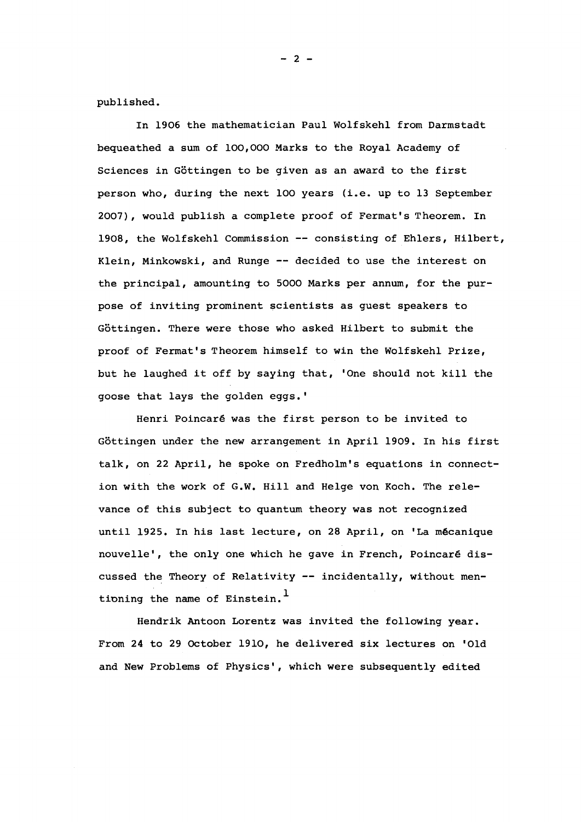published.

In 1906 the mathematician Paul Wolfskehl from Darmstadt bequeathed a sum of 100,000 Marks to the Royal Academy of Sciences in Göttingen to be given as an award to the first person who, during the next 100 years (i.e. up to 13 September 2007), would publish a complete proof of Fermat's Theorem. In 1908, the Wolfskehl Commission — consisting of Ehlers, Hilbert, Klein, Minkowski, and Runge — decided to use the interest on the principal, amounting to 5000 Marks per annum, for the purpose of inviting prominent scientists as guest speakers to Göttingen. There were those who asked Hilbert to submit the proof of Fermat's Theorem himself to win the Wolfskehl Prize, but he laughed it off by saying that, 'One should not kill the goose that lays the golden eggs. '

Henri Poincarê was the first person to be invited to Göttingen under the new arrangement in April 1909. In his first talk, on 22 April, he spoke on Fredholm's equations in connection with the work of G.W. Hill and Helge von Koch. The relevance of this subject to quantum theory was not recognized until 1925. In his last lecture, on 28 April, on 'La mécanique nouvelle', the only one which he gave in French, Poincarê discussed the Theory of Relativity — incidentally, without mentioning the name of Einstein.<sup>1</sup>

Hendrik Antoon Lorentz was invited the following year. From 24 to 29 October 1910, he delivered six lectures on 'Old and New Problems of Physics', which were subsequently edited

 $- 2 -$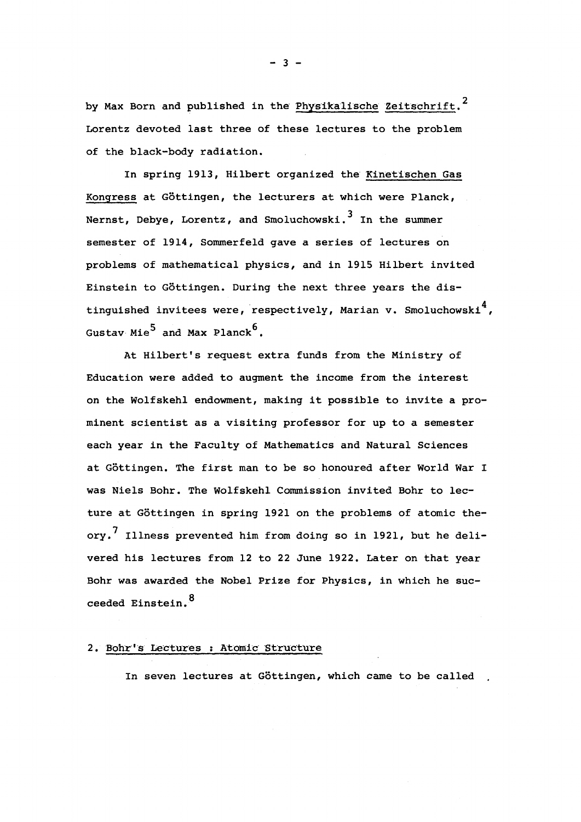by Max Born and published in the Physikalische Zeitschrift.<sup>2</sup> Lorentz devoted last three of these lectures to the problem of the black-body radiation.

In spring 1913, Hilbert organized the Kinetischen Gas Kongress at Göttingen, the lecturers at which were Planck, Nernst, Debye, Lorentz, and Smoluchowski.<sup>3</sup> In the summer semester of 1914, Sommerfeld gave a series of lectures on problems of mathematical physics, and in 1915 Hilbert invited Einstein to Göttingen. During the next three years the distinguished invitees were, respectively, Marian v. Smoluchowski<sup>4</sup>, Gustav Mie<sup>5</sup> and Max Planck<sup>6</sup>.

At Hilbert's request extra funds from the Ministry of Education were added to augment the income from the interest on the Wolfskehl endowment, making it possible to invite a prominent scientist as a visiting professor for up to a semester each year in the Faculty of Mathematics and Natural Sciences at Göttingen. The first man to be so honoured after World War I was Niels Bohr. The Wolfskehl Commission invited Bohr to lecture at Göttingen in spring 1921 on the problems of atomic theory.<sup>7</sup> Illness prevented him from doing so in 1921, but he delivorta his fectures from 12 to 22 cune fort, butef on that fear Bohr was awarded the Nobel Prize for Physics, in which he succeeded Einstein. <sup>8</sup>

# 2. Bohr's Lectures : Atomic Structure

In seven lectures at Göttingen, which came to be called

 $- 3 -$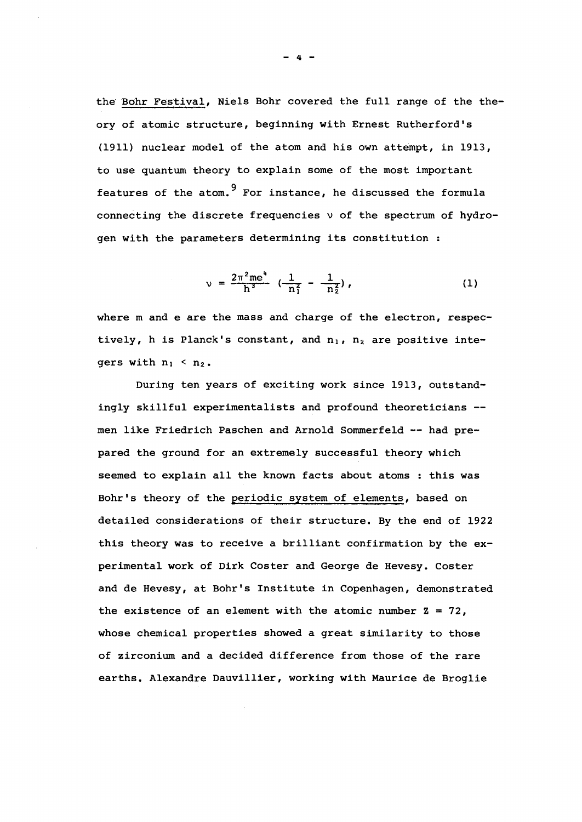the Bohr Festival, Niels Bohr covered the full range of the theory of atomic structure, beginning with Ernest Rutherford's (1911) nuclear model of the atom and his own attempt, in 1913, to use quantum theory to explain some of the most important features of the atom.<sup>9</sup> For instance, he discussed the formula connecting the discrete frequencies v of the spectrum of hydrogen with the parameters determining its constitution :

$$
\nu = \frac{2\pi^2 m e^4}{h^3} \left( \frac{1}{n_1^2} - \frac{1}{n_2^2} \right), \qquad (1)
$$

where m and e are the mass and charge of the electron, respectively, h is Planck's constant, and  $n_1$ ,  $n_2$  are positive integers with  $n_1 < n_2$ .

During ten years of exciting work since 1913, outstandingly skillful experimentalists and profound theoreticians men like Friedrich Paschen and Arnold Sommerfeld — had prepared the ground for an extremely successful theory which seemed to explain all the known facts about atoms : this was Bohr's theory of the periodic system of elements, based on detailed considerations of their structure. By the end of 1922 this theory was to receive a brilliant confirmation by the experimental work of Dirk Coster and George de Hevesy. Coster and de Hevesy, at Bohr's Institute in Copenhagen, demonstrated the existence of an element with the atomic number  $z = 72$ , whose chemical properties showed a great similarity to those of zirconium and a decided difference from those of the rare earths. Alexandre Dauvillier, working with Maurice de Broglie

**- 4 -**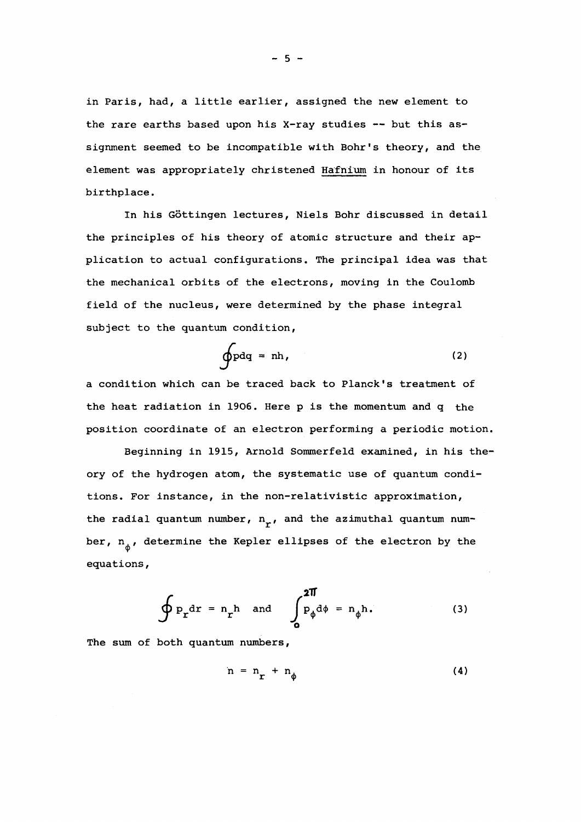in Paris, had, a little earlier, assigned the new element to the rare earths based upon his X-ray studies — but this assignment seemed to be incompatible with Bohr's theory, and the element was appropriately christened Hafnium in honour of its birthplace.

In his Gôttingen lectures, Niels Bohr discussed in detail the principles of his theory of atomic structure and their application to actual configurations. The principal idea was that the mechanical orbits of the electrons, moving in the Coulomb field of the nucleus, were determined by the phase integral subject to the quantum condition,

$$
\oint p dq = nh, \qquad (2)
$$

a condition which can be traced back to Planck's treatment of the heat radiation in 1906. Here p is the momentum and q the position coordinate of an electron performing a periodic motion.

Beginning in 1915, Arnold Sommerfeld examined, in his theory of the hydrogen atom, the systematic use of quantum conditions. For instance, in the non-relativistic approximation, the radial quantum number,  $n_r$ , and the azimuthal quantum number,  $n_A$ , determine the Kepler ellipses of the electron by the equations,

$$
\oint P_{r} dr = n_r h \text{ and } \int_{0}^{2\pi} p_{\phi} d\phi = n_{\phi} h. \tag{3}
$$

The sum of both quantum numbers,

$$
n = n_r + n_\phi \tag{4}
$$

 $-5 -$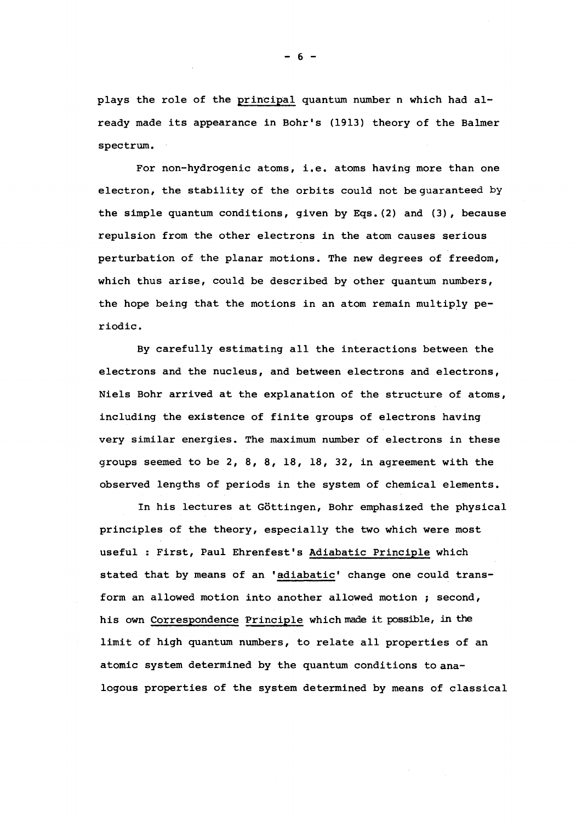plays the role of the principal quantum number n which had already made its appearance in Bohr's (1913) theory of the Balmer spectrum.

For non-hydrogenic atoms, i.e. atoms having more than one electron, the stability of the orbits could not be guaranteed by the simple quantum conditions, given by Eqs.(2) and (3), because repulsion from the other electrons in the atom causes serious perturbation of the planar motions. The new degrees of freedom, which thus arise, could be described by other quantum numbers, the hope being that the motions in an atom remain multiply periodic.

By carefully estimating all the interactions between the electrons and the nucleus, and between electrons and electrons, Niels Bohr arrived at the explanation of the structure of atoms, including the existence of finite groups of electrons having very similar energies. The maximum number of electrons in these groups seemed to be 2, 8, 8, 18, 18, 32, in agreement with the observed lengths of periods in the system of chemical elements.

In his lectures at Gôttingen, Bohr emphasized the physical principles of the theory, especially the two which were most useful : First, Paul Ehrenfest's Adiabatic Principle which stated that by means of an 'adiabatic' change one could transform an allowed motion into another allowed motion ; second, his own Correspondence Principle which made it possible, in the limit of high quantum numbers, to relate all properties of an atomic system determined by the quantum conditions to analogous properties of the system determined by means of classical

- 6 -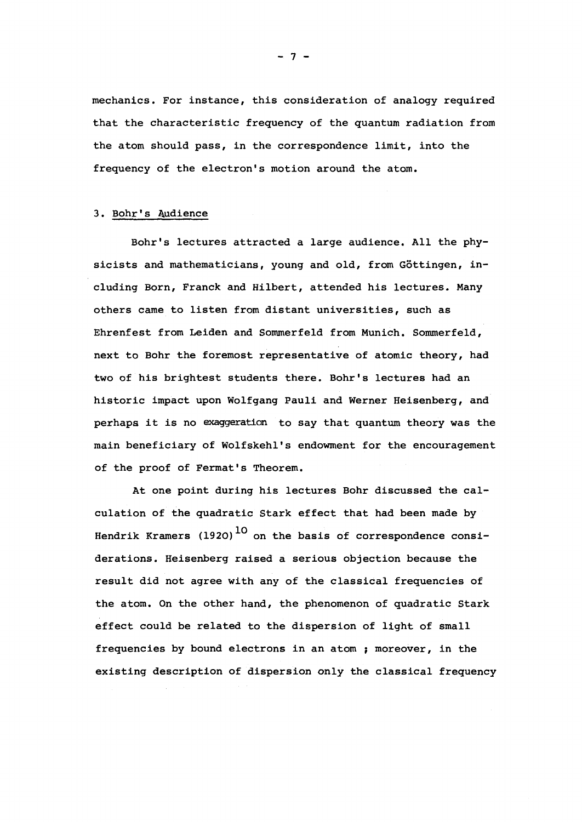mechanics. For instance, this consideration of analogy required that the characteristic frequency of the quantum radiation from the atom should pass, in the correspondence limit, into the frequency of the electron's motion around the atom.

#### 3. Bohr's Audience

Bohr's lectures attracted a large audience. All the physicists and mathematicians, young and old, from Gôttingen, including Born, Franck and Hilbert, attended his lectures. Many others came to listen from distant universities, such as Ehrenfest from Leiden and Sommerfeld from Munich. Sommerfeld, next to Bohr the foremost representative of atomic theory, had two of his brightest students there. Bohr's lectures had an historic impact upon Wolfgang Pauli and Werner Heisenberg, and perhaps it is no exaggeration to say that quantum theory was the main beneficiary of Wolfskehl's endowment for the encouragement of the proof of Fermat's Theorem.

At one point during his lectures Bohr discussed the calculation of the quadratic Stark effect that had been made by Hendrik Kramers (1920)<sup>10</sup> on the basis of correspondence considerations. Heisenberg raised a serious objection because the result did not agree with any of the classical frequencies of the atom. On the other hand, the phenomenon of quadratic Stark effect could be related to the dispersion of light of small frequencies by bound electrons in an atom ; moreover, in the existing description of dispersion only the classical frequency

- 7 -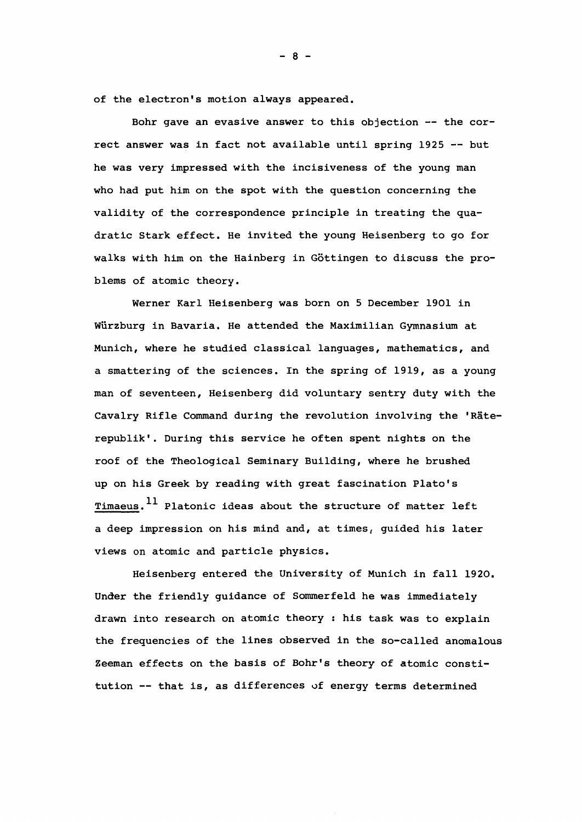of the electron's motion always appeared.

Bohr gave an evasive answer to this objection — the correct answer was in fact not available until spring 1925 — but he was very impressed with the incisiveness of the young man who had put him on the spot with the question concerning the validity of the correspondence principle in treating the quadratic Stark effect. He invited the young Heisenberg to go for walks with him on the Hainberg in Göttingen to discuss the problems of atomic theory.

Werner Karl Heisenberg was born on 5 December 1901 in Wiirzburg in Bavaria. He attended the Maximilian Gymnasium at Munich, where he studied classical languages, mathematics, and a smattering of the sciences. In the spring of 1919, as a young man of seventeen, Heisenberg did voluntary sentry duty with the Cavalry Rifle Command during the revolution involving the 'Räterepublik'. During this service he often spent nights on the roof of the Theological Seminary Building, where he brushed up on his Greek by reading with great fascination Plato's Timaeus.<sup>11</sup> Platonic ideas about the structure of matter left a deep impression on his mind and, at times, guided his later views on atomic and particle physics.

Heisenberg entered the University of Munich in fall 1920. Under the friendly guidance of Sommerfeld he was immediately drawn into research on atomic theory : his task was to explain the frequencies of the lines observed in the so-called anomalous Zeeman effects on the basis of Bohr's theory of atomic constitution — that is, as differences of energy terms determined

- 8 -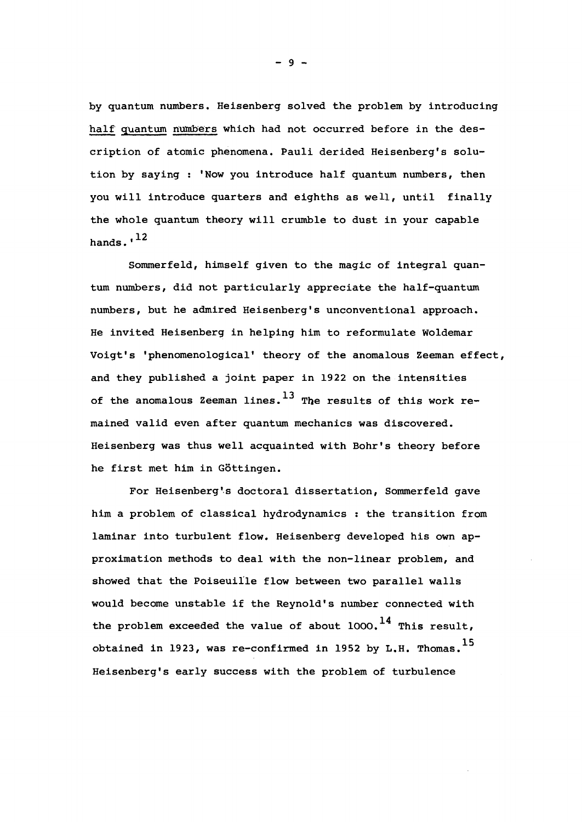by quantum numbers. Heisenberg solved the problem by introducing half quantum numbers which had not occurred before in the description of atomic phenomena. Pauli derided Heisenberg's solution by saying : 'Now you introduce half quantum numbers, then you will introduce quarters and eighths as well, until finally the whole quantum theory will crumble to dust in your capable hands. $12$ 

Sommerfeld, himself given to the magic of integral quantum numbers, did not particularly appreciate the half-quantum numbers, but he admired Heisenberg's unconventional approach. He invited Heisenberg in helping him to reformulate Woldemar Voigt's 'phenomenological' theory of the anomalous Zeeman effect, and they published a joint paper in 1922 on the intensities of the anomalous Zeeman lines.  $^{13}$  The results of this work remained valid even after quantum mechanics was discovered. Heisenberg was thus well acquainted with Bohr's theory before he first met him in Gôttingen.

For Heisenberg's doctoral dissertation, Sommerfeld gave him a problem of classical hydrodynamics : the transition from laminar into turbulent flow. Heisenberg developed his own approximation methods to deal with the non-linear problem, and showed that the Poiseuille flow between two parallel walls would become unstable if the Reynold's number connected with the problem exceeded the value of about  $1000$ . <sup>14</sup> This result, obtained in 1923, was re-confirmed in 1952 by L.H. Thomas.  $^{15}$ Heisenberg's early success with the problem of turbulence

 $-9 -$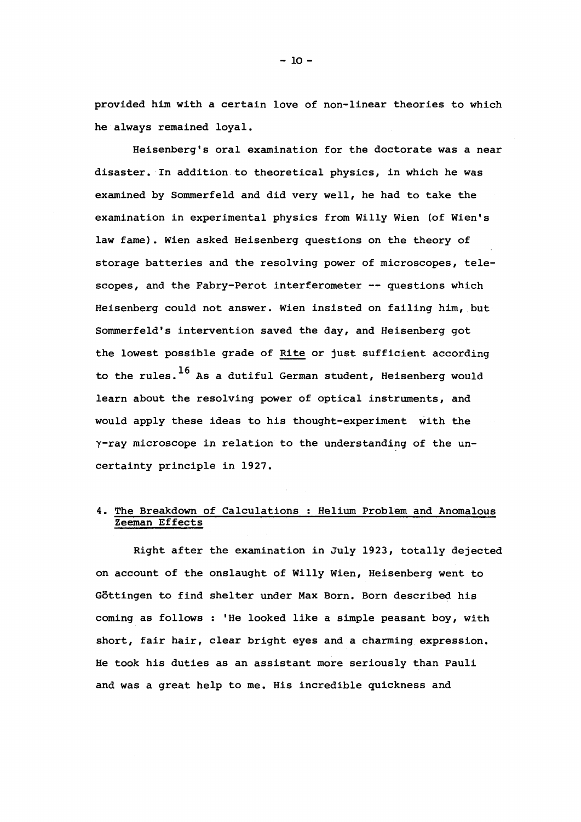provided him with a certain love of non-linear theories to which he always remained loyal.

Heisenberg's oral examination for the doctorate was a near disaster. In addition to theoretical physics, in which he was examined by Sommerfeld and did very well, he had to take the examination in experimental physics from Willy Wien (of Wien's law fame). Wien asked Heisenberg questions on the theory of storage batteries and the resolving power of microscopes, telescopes, and the Fabry-Perot interferometer -- questions which Heisenberg could not answer. Wien insisted on failing him, but Sommerfeld's intervention saved the day, and Heisenberg got the lowest possible grade of Rite or just sufficient according to the rules.  $^{16}$  As a dutiful German student, Heisenberg would learn about the resolving power of optical instruments, and would apply these ideas to his thought-experiment with the Y-ray microscope in relation to the understanding of the uncertainty principle in 1927.

# 4. The Breakdown of Calculations ; Helium Problem and Anomalous Zeeman Effects

Right after the examination in July 1923, totally dejected on account of the onslaught of Willy Wien, Heisenberg went to Gôttingen to find shelter under Max Born. Born described his coming as follows : 'He looked like a simple peasant boy, with short, fair hair, clear bright eyes and a charming expression. He took his duties as an assistant more seriously than Pauli and was a great help to me. His incredible quickness and

 $-10 -$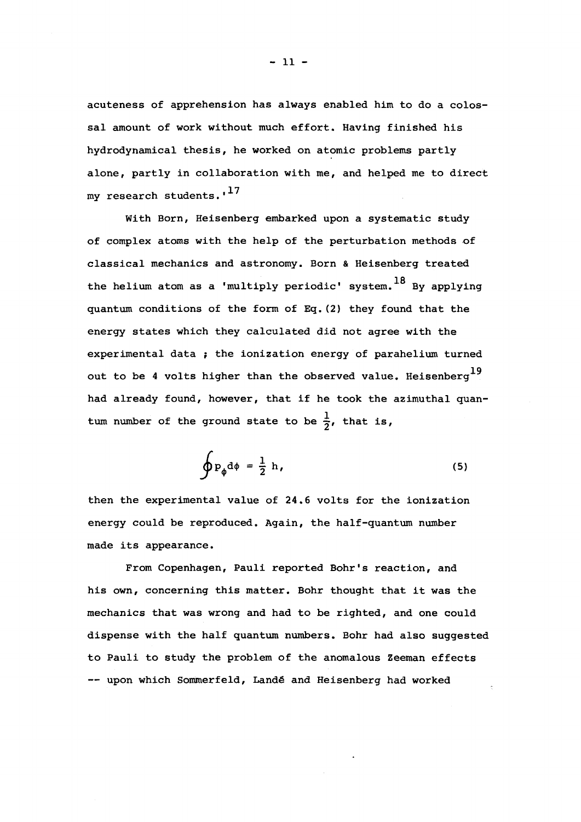acuteness of apprehension has always enabled him to do a colossal amount of work without much effort. Having finished his hydrodynamical thesis, he worked on atomic problems partly alone, partly in collaboration with me, and helped me to direct my research students.'<sup>17</sup>

With Born, Heisenberg embarked upon a systematic study of complex atoms with the help of the perturbation methods of classical mechanics and astronomy. Born & Heisenberg treated the helium atom as a 'multiply periodic' system.  $^{18}$  By applying quantum conditions of the form of Eq. (2) they found that the energy states which they calculated did not agree with the experimental data ; the ionization energy of parahelium turned out to be 4 volts higher than the observed value. Heisenberg $^{19}$ had already found, however, that if he took the azimuthal quantum number of the ground state to be  $\frac{1}{2}$ , that is,

$$
\oint P_{\phi} d\phi = \frac{1}{2} h,
$$
\n(5)

then the experimental value of 24.6 volts for the ionization energy could be reproduced. Again, the half-quantum number made its appearance.

From Copenhagen, Pauli reported Bohr's reaction, and his own, concerning this matter. Bohr thought that it was the mechanics that was wrong and had to be righted, and one could dispense with the half quantum numbers. Bohr had also suggested to Pauli to study the problem of the anomalous Zeeman effects -- upon which Sommerfeld, Landé and Heisenberg had worked

 $-11 -$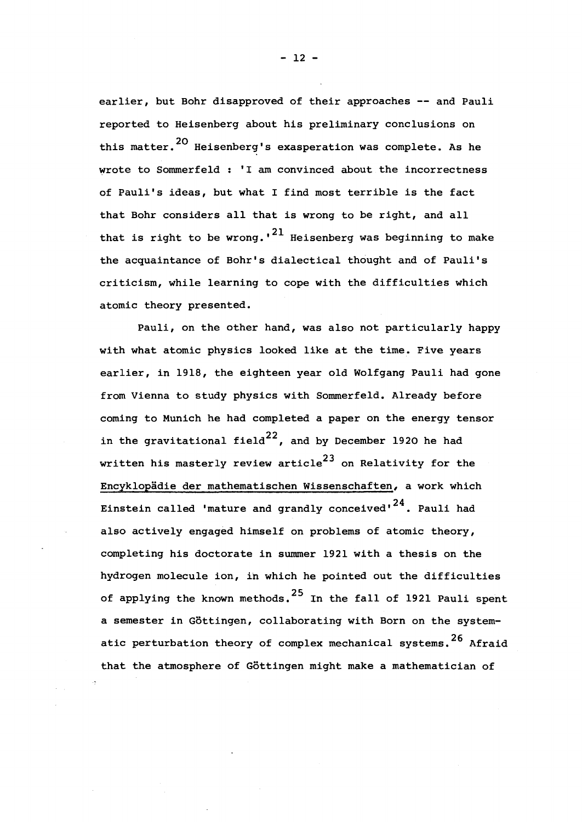earlier, but Bohr disapproved of their approaches -- and Pauli reported to Heisenberg about his preliminary conclusions on this matter.<sup>20</sup> Heisenberg's exasperation was complete. As he wrote to Sommerfeld : 'I am convinced about the incorrectness of Pauli's ideas, but what I find most terrible is the fact that Bohr considers all that is wrong to be right, and all that is right to be wrong.'<sup>21</sup> Heisenberg was beginning to make the acquaintance of Bohr's dialectical thought and of Pauli's criticism, while learning to cope with the difficulties which atomic theory presented.

Pauli, on the other hand, was also not particularly happy with what atomic physics looked like at the time. Five years earlier, in 1918, the eighteen year old Wolfgang Pauli had gone from Vienna to study physics with Sommerfeld. Already before coming to Munich he had completed a paper on the energy tensor 22 in the gravitational field , and by December 1920 he had written his masterly review article<sup>23</sup> on Relativity for the Encyklopädie der mathematischen Wissenschaften, a work which Einstein called 'mature and grandly conceived'<sup>24</sup>. Pauli had also actively engaged himself on problems of atomic theory, completing his doctorate in summer 1921 with a thesis on the hydrogen molecule ion, in which he pointed out the difficulties of applying the known methods.<sup>25</sup> In the fall of 1921 Pauli spent a semester in Göttingen, collaborating with Born on the systematic perturbation theory of complex mechanical systems.<sup>26</sup> Afraid that the atmosphere of Göttingen might make a mathematician of

- 12 -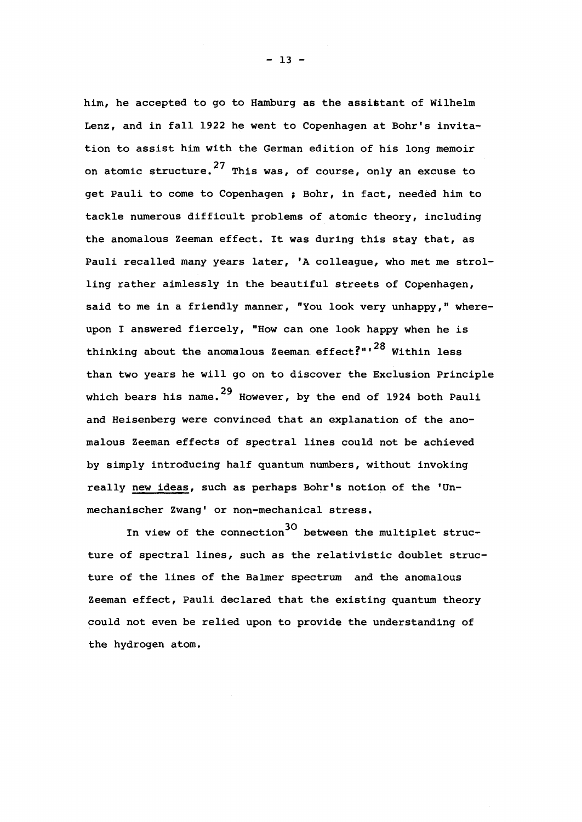him, he accepted to go to Hamburg as the assistant of Wilhelm Lenz, and in fall 1922 he went to Copenhagen at Bohr's invitation to assist him with the German edition of his long memoir on atomic structure. $^{27}$  This was, of course, only an excuse to get Pauli to come to Copenhagen ; Bohr, in fact, needed him to tackle numerous difficult problems of atomic theory, including the anomalous Zeeman effect. It was during this stay that, as Pauli recalled many years later, 'A colleague, who met me strolling rather aimlessly in the beautiful streets of Copenhagen, said to me in a friendly manner, "You look very unhappy," whereupon I answered fiercely, "How can one look happy when he is thinking about the anomalous Zeeman effect?" $1^{28}$  Within less than two years he will go on to discover the Exclusion Principle which bears his name.  $29$  However, by the end of 1924 both Pauli and Heisenberg were convinced that an explanation of the anomalous Zeeman effects of spectral lines could not be achieved by simply introducing half quantum numbers, without invoking really new ideas, such as perhaps Bohr's notion of the 'Unmechanischer Zwang' or non-mechanical stress.

In view of the connection  $30$  between the multiplet structure of spectral lines, such as the relativistic doublet structure of the lines of the Balmer spectrum and the anomalous Zeeman effect, Pauli declared that the existing quantum theory could not even be relied upon to provide the understanding of the hydrogen atom.

 $- 13 -$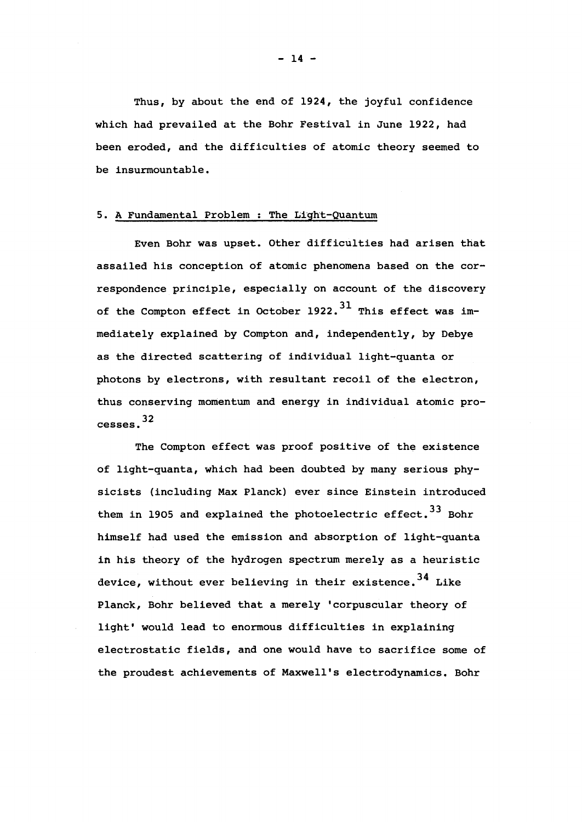Thus, by about the end of 1924, the joyful confidence which had prevailed at the Bohr Festival in June 1922, had been eroded, and the difficulties of atomic theory seemed to be insurmountable.

#### 5. A Fundamental Problem ; The Light-Quantum

Even Bohr was upset. Other difficulties had arisen that assailed his conception of atomic phenomena based on the correspondence principle, especially on account of the discovery of the Compton effect in October 1922.<sup>31</sup> This effect was immediately explained by Compton and, independently, by Debye mediately explained by Compton and, independently, by Debye as the directed scattering of individual light-quanta or photons by electrons, with resultant recoil of the electron, thus conserving momentum and energy in individual atomic pro-32 cesses.

The Compton effect was proof positive of the existence of light-quanta, which had been doubted by many serious physicists (including Max Planck) ever since Einstein introduced them in 1905 and explained the photoelectric effect.<sup>33</sup> Bohr himself had used the emission and absorption of light-quanta in his theory of the hydrogen spectrum merely as a heuristic device, without ever believing in their existence.<sup>34</sup> Like Planck, Bohr believed that a merely 'corpuscular theory of light' would lead to enormous difficulties in explaining electrostatic fields, and one would have to sacrifice some of the proudest achievements of Maxwell's electrodynamics. Bohr

- 14 -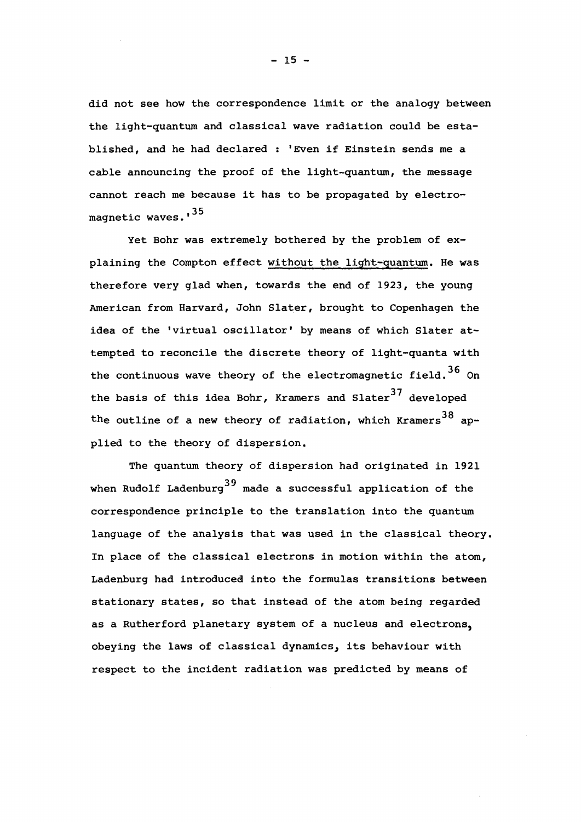did not see how the correspondence limit or the analogy between the light-quantum and classical wave radiation could be established, and he had declared : 'Even if Einstein sends me a cable announcing the proof of the light-quantum, the message cannot reach me because it has to be propagated by electro magnetic waves.'<sup>35</sup>

Yet Bohr was extremely bothered by the problem of explaining the Compton effect without the light-quantum. He was therefore very glad when, towards the end of 1923, the young American from Harvard, John Slater, brought to Copenhagen the idea of the 'virtual oscillator' by means of which Slater attempted to reconcile the discrete theory of light-quanta with 36 the continuous wave theory of the electromagnetic field. On the basis of this idea Bohr, Kramers and Slater<sup>37</sup> developed 38 the outline of a new theory of radiation, which Kramers applied to the theory of dispersion.

The quantum theory of dispersion had originated in 1921 when Rudolf Ladenburg<sup>39</sup> made a successful application of the correspondence principle to the translation into the quantum language of the analysis that was used in the classical theory. In place of the classical electrons in motion within the atom, Ladenburg had introduced into the formulas transitions between stationary states, so that instead of the atom being regarded as a Rutherford planetary system of a nucleus and electrons, obeying the laws of classical dynamics, its behaviour with respect to the incident radiation was predicted by means of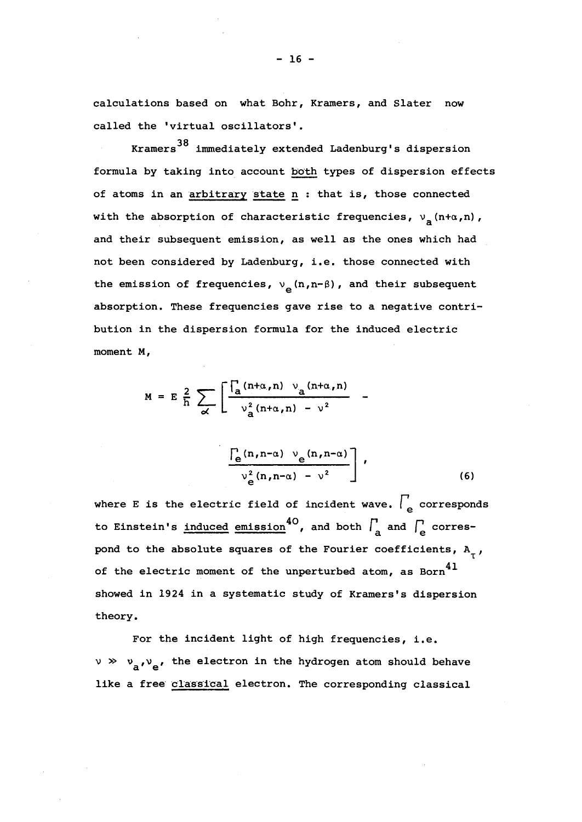calculations based on what Bohr, Kramers, and Slater now called the 'virtual oscillators'.

38 Kramers immediately extended Ladenburg's dispersion formula by taking into account both types of dispersion effects of atoms in an arbitrary state n : that is, those connected with the absorption of characteristic frequencies,  $v_a(n+a,n)$ , and their subsequent emission, as well as the ones which had not been considered by Ladenburg, i.e. those connected with the emission of frequencies,  $v_a(n,n-\beta)$ , and their subsequent absorption. These frequencies gave rise to a negative contribution in the dispersion formula for the induced electric moment M,

$$
M = E \frac{2}{h} \sum_{\alpha} \left[ \frac{\int_a (n+\alpha, n) \ v_a(n+\alpha, n)}{\nu_a^2 (n+\alpha, n) - \nu^2} \right].
$$

$$
\frac{\left[\frac{1}{e}(n,n-\alpha) \vee e(n,n-\alpha)\right]}{\nu_e^2(n,n-\alpha) - \nu^2},
$$
\n(6)

where E is the electric field of incident wave.  $\int_{a}^{b}$  corresponds to Einstein's induced emission<sup>40</sup>, and both  $\int_{a}^{b}$  and  $\int_{e}^{b}$  correspond to the absolute squares of the Fourier coefficients, A<sub>-</sub>, of the electric moment of the unperturbed atom, as Born $^\mathrm{41}$ showed in 1924 in a systematic study of Kramers's dispersion theory.

For the incident light of high frequencies, i.e.  $v \gg v_a$ , the electron in the hydrogen atom should behave like a free classical electron. The corresponding classical

- 16 -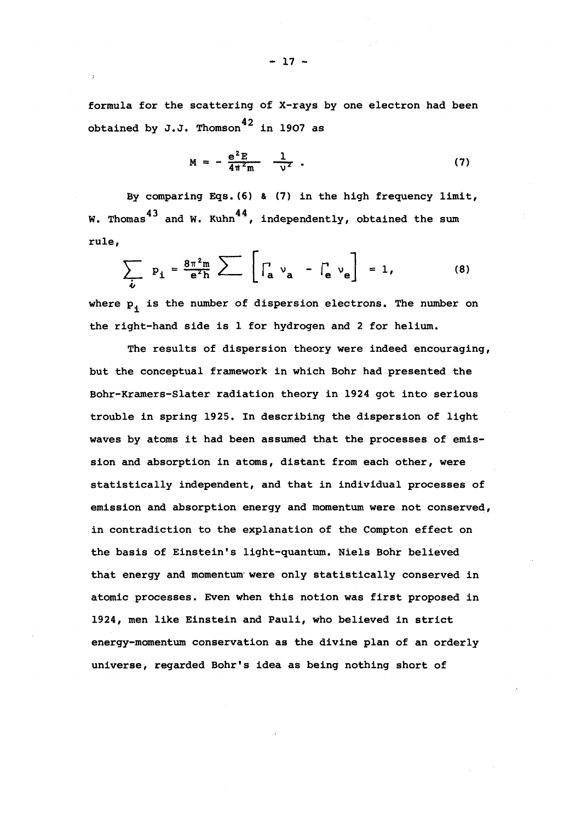formula for the scattering of X-rays by one electron had been obtained by J.J. Thomson<sup>42</sup> in 1907 as

$$
M = -\frac{e^2 E}{4\pi^2 m} - \frac{1}{v^2} \tag{7}
$$

By comparing Eqs.(6) & (7) in the high frequency limit, 43 and  $\mu$  Kubn<sup>44</sup> W. Thomas and W. Kuhn , independently, obtained the sum rule,

$$
\sum_{i} p_i = \frac{8\pi^2 m}{e^2 h} \sum \left[ \int_a v_a - \int_e v_e \right] = 1,
$$
 (8)

where  $p_i$  is the number of dispersion electrons. The number on the right-hand side is 1 for hydrogen and 2 for helium.

The results of dispersion theory were indeed encouraging, but the conceptual framework in which Bohr had presented the Bohr-Kramers-Slater radiation theory in 1924 got into serious trouble in spring 1925. In describing the dispersion of light waves by atoms it had been assumed that the processes of emission and absorption in atoms, distant from each other, were statistically independent, and that in individual processes of emission and absorption energy and momentum were not conserved, in contradiction to the explanation of the Compton effect on the basis of Einstein's light-quantum. Niels Bohr believed that energy and momentum were only statistically conserved in atomic processes. Even when this notion was first proposed in 1924, men like Einstein and Pauli, who believed in strict energy-momentum conservation as the divine plan of an orderly universe, regarded Bohr's idea as being nothing short of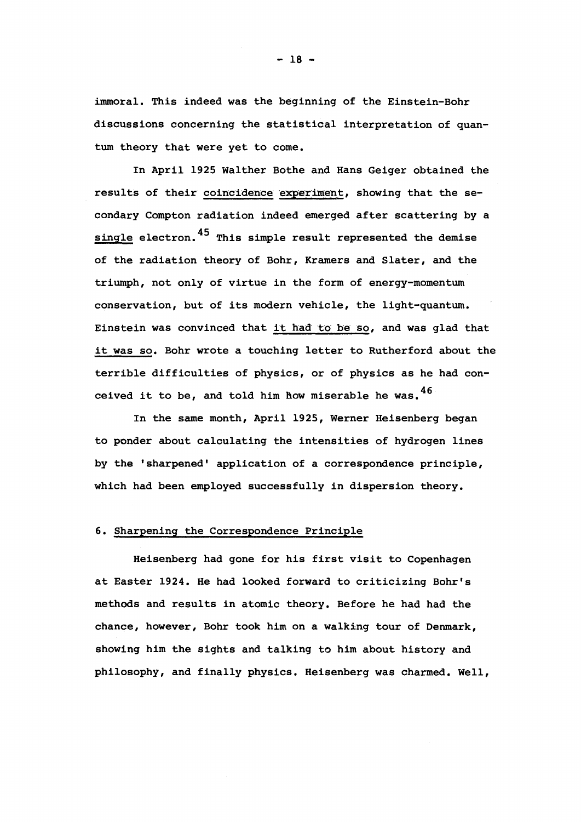immoral. This indeed was the beginning of the Einstein-Bohr discussions concerning the statistical interpretation of quantum theory that were yet to come.

In April 1925 Walther Bothe and Hans Geiger obtained the results of their coincidence experiment, showing that the secondary Compton radiation indeed emerged after scattering by a single electron.  $45$  This simple result represented the demise of the radiation theory of Bohr, Kramers and Slater, and the triumph, not only of virtue in the form of energy-momentum conservation, but of its modern vehicle, the light-quantum. Einstein was convinced that it had to be so, and was glad that it was so. Bohr wrote a touching letter to Rutherford about the terrible difficulties of physics, or of physics as he had conceived it to be, and told him how miserable he was.  $46$ 

In the same month, April 1925, Werner Heisenberg began to ponder about calculating the intensities of hydrogen lines by the 'sharpened' application of a correspondence principle, which had been employed successfully in dispersion theory.

## 6. Sharpening the Correspondence Principle

Heisenberg had gone for his first visit to Copenhagen at Easter 1924. He had looked forward to criticizing Bohr's methods and results in atomic theory. Before he had had the chance, however, Bohr took him on a walking tour of Denmark, showing him the sights and talking to him about history and philosophy, and finally physics. Heisenberg was charmed. Well,

 $- 18 -$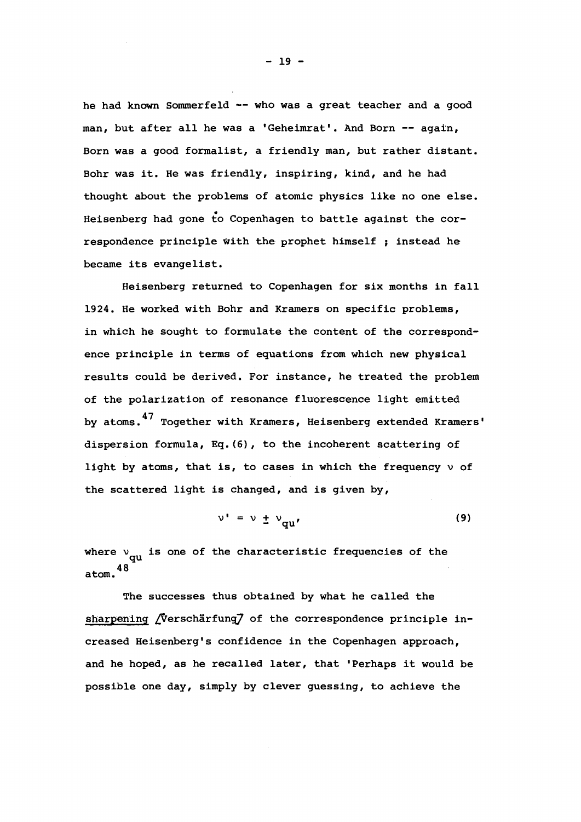he had known Sommerfeld — who was a great teacher and a good man, but after all he was a 'Geheimrat'. And Born -- again, Born was a good formalist, a friendly man, but rather distant. Bohr was it. He was friendly, inspiring, kind, and he had thought about the problems of atomic physics like no one else. Heisenberg had gone to Copenhagen to battle against the correspondence principle With the prophet himself ; instead he became its evangelist.

Heisenberg returned to Copenhagen for six months in fall 1924. He worked with Bohr and Kramers on specific problems, in which he sought to formulate the content of the correspondence principle in terms of equations from which new physical results could be derived. For instance, he treated the problem of the polarization of resonance fluorescence light emitted by atoms.<sup>47</sup> Together with Kramers, Heisenberg extended Kramers' dispersion formula, Eq.(6), to the incoherent scattering of light by atoms, that is, to cases in which the frequency  $\nu$  of the scattered light is changed, and is given by,

$$
\nu' = \nu \pm \nu_{qu'}
$$
 (9)

where  $v_{\text{qu}}$  is one of the characteristic frequencies of the 48 atom.

The successes thus obtained by what he called the sharpening *[*Verschärfung] of the correspondence principle increased Heisenberg's confidence in the Copenhagen approach, and he hoped, as he recalled later, that 'Perhaps it would be possible one day, simply by clever guessing, to achieve the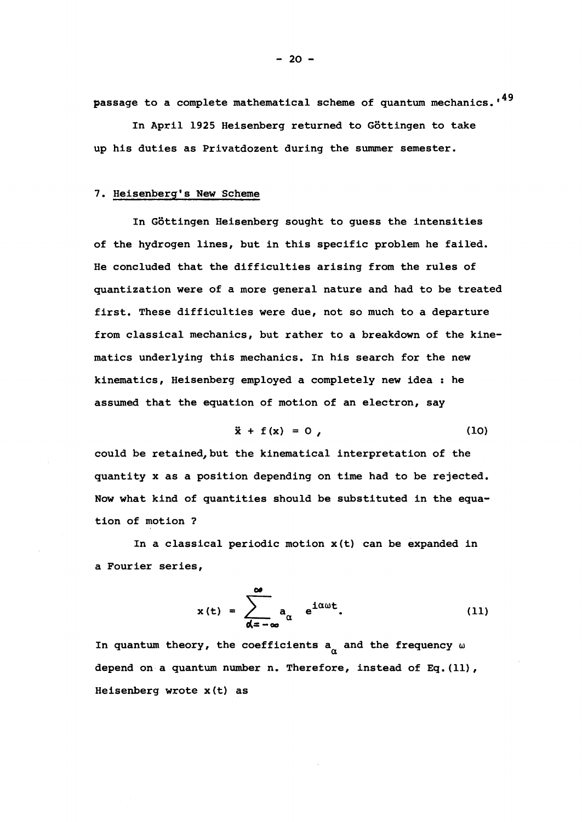passage to a complete mathematical scheme of quantum mechanics.'<sup>49</sup>

In April 1925 Heisenberg returned to Gôttingen to take up his duties as Privatdozent during the summer semester.

#### 7. Heisenberg's New Scheme

In Gôttingen Heisenberg sought to guess the intensities of the hydrogen lines, but in this specific problem he failed. He concluded that the difficulties arising from the rules of quantization were of a more general nature and had to be treated first. These difficulties were due, not so much to a departure from classical mechanics, but rather to a breakdown of the kinematics underlying this mechanics. In his search for the new kinematics, Heisenberg employed a completely new idea : he assumed that the equation of motion of an electron, say

$$
\ddot{x} + f(x) = 0 \tag{10}
$$

could be retained, but the kinematical interpretation of the quantity x as a position depending on time had to be rejected. Now what kind of quantities should be substituted in the equation of motion ?

In a classical periodic motion  $x(t)$  can be expanded in a Fourier series,

$$
x(t) = \sum_{\alpha = -\infty}^{\infty} a_{\alpha} e^{i\alpha\omega t}.
$$
 (11)

In quantum theory, the coefficients  $a_n$  and the frequency  $\omega$ depend on a quantum number n. Therefore, instead of Eq. (11), Heisenberg wrote x(t) as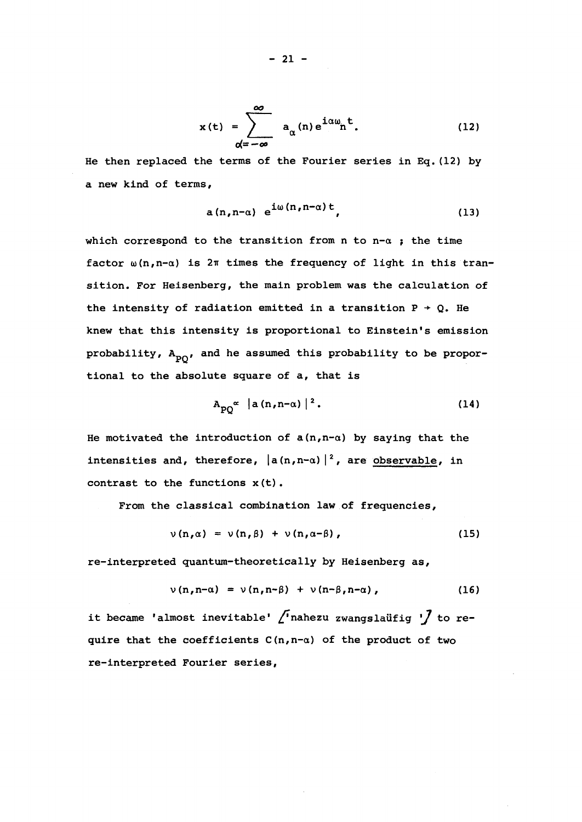$$
x(t) = \sum_{\alpha = -\infty}^{\infty} a_{\alpha}(n) e^{i\alpha \omega} n^{t}.
$$
 (12)

He then replaced the terms of the Fourier series in Eq.(12) by a new kind of terms,

$$
a(n,n-a) e^{i\omega(n,n-a)t}, \qquad (13)
$$

which correspond to the transition from n to  $n-\alpha$  ; the time factor  $\omega(n,n-\alpha)$  is  $2\pi$  times the frequency of light in this transition. For Heisenberg, the main problem was the calculation of the intensity of radiation emitted in a transition  $P \rightarrow Q$ . He knew that this intensity is proportional to Einstein's emission probability,  $A_{\text{p}_0}$ , and he assumed this probability to be proportional to the absolute square of a, that is

$$
A_{p0}^{\alpha} |a(n,n-\alpha)|^2. \qquad (14)
$$

He motivated the introduction of  $a(n,n-a)$  by saying that the intensities and, therefore,  $|a(n,n-a)|^2$ , are observable, in contrast to the functions x(t).

From the classical combination law of frequencies,

$$
\nu(n,\alpha) = \nu(n,\beta) + \nu(n,\alpha-\beta), \qquad (15)
$$

re-interpreted quantum-theoretically by Heisenberg as,

$$
\nu(n,n-\alpha) = \nu(n,n-\beta) + \nu(n-\beta,n-\alpha), \qquad (16)
$$

it became 'almost inevitable'  $\int$  nahezu zwangslaüfig ' $\int$  to require that the coefficients  $C(n,n-a)$  of the product of two re-interpreted Fourier series,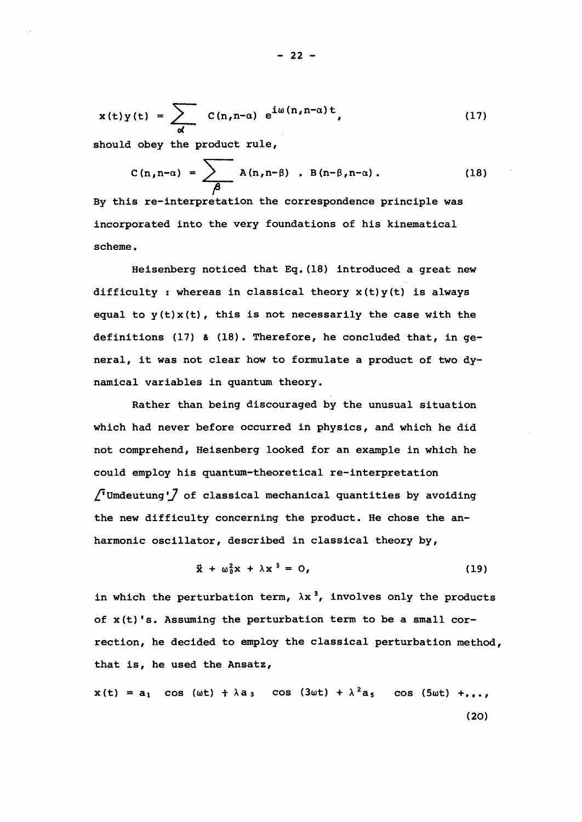$$
x(t)y(t) = \sum_{\alpha} c(n, n-\alpha) e^{i\omega(n, n-\alpha)t}, \qquad (17)
$$

should obey the product rule,

$$
C(n,n-\alpha) = \sum_{\beta} A(n,n-\beta) \cdot B(n-\beta,n-\alpha).
$$
 (18)

By this re-interpretation the correspondence principle was incorporated into the very foundations of his kinematical

difficulty : whereas in classical theory  $x(t)$  y(t) is always equal to  $y(t)x(t)$ , this is not necessarily the case with the definitions (17) & (18). Therefore, he concluded that, in qeneral, it was not clear how to formulate a product of two dy-

Rather than being discouraged by the unusual situation  $\int$  Umdeutung  $\int$  of classical mechanical quantities by avoiding  $\mathcal{F}_{\mathcal{F}}$  of classical mechanical mechanical mechanical mechanical mechanical quantities by avoiding  $\mathcal{F}_{\mathcal{F}}$ 

$$
\ddot{x} + \omega_0^2 x + \lambda x^3 = 0,
$$
 (19)

in which the perturbation term,  $\lambda x^3$ , involves only the products of x(t)'s. Assuming the perturbation term to be a small correction, he decided to employ the classical perturbation method, that is, he used the Ansatz,

$$
x(t) = a_1 \cos(\omega t) + \lambda a_3 \cos(3\omega t) + \lambda^2 a_5 \cos(5\omega t) + \ldots,
$$
 (20)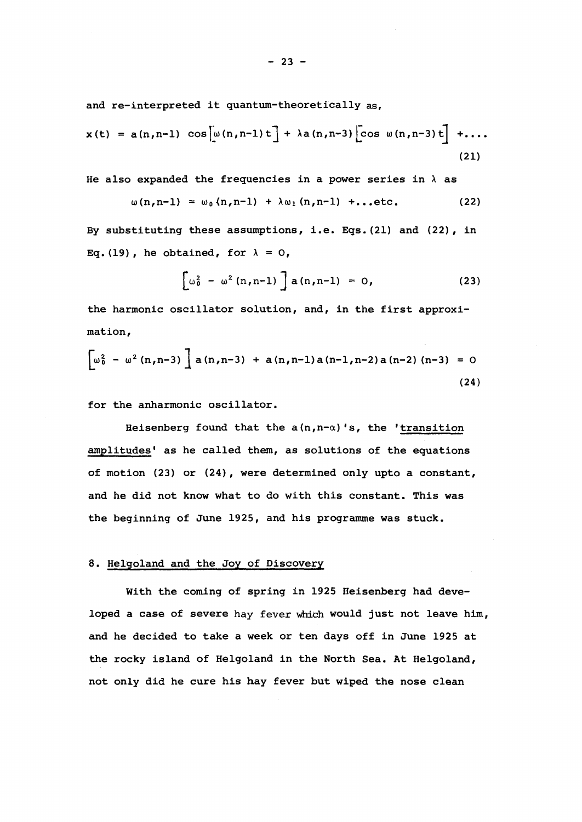and re-interpreted it quantum-theoretically as,

$$
x(t) = a(n, n-1) \cos[\omega(n, n-1)t] + \lambda a(n, n-3) \cos \omega(n, n-3)t] + \dots
$$
 (21)

He also expanded the frequencies in a power series in  $\lambda$  as

$$
\omega(n,n-1) = \omega_0(n,n-1) + \lambda \omega_1(n,n-1) + ... etc.
$$
 (22)

By substituting these assumptions, i.e. Eqs. (21) and (22) , in Eq.(19), he obtained, for  $\lambda = 0$ ,

$$
\left[\omega_0^2 - \omega^2 (n, n-1)\right] a (n, n-1) = 0,
$$
 (23)

the harmonic oscillator solution, and, in the first approximation,

$$
\left[\omega_0^2 - \omega^2 (n,n-3)\right] a (n,n-3) + a (n,n-1) a (n-1,n-2) a (n-2) (n-3) = 0
$$
\n(24)

for the anharmonic oscillator.

Heisenberg found that the  $a(n,n-a)'s$ , the 'transition amplitudes' as he called them, as solutions of the equations of motion (23) or (24), were determined only upto a constant, and he did not know what to do with this constant. This was the beginning of June 1925, and his programme was stuck.

#### 8. Helgoland and the Joy of Discovery

With the coming of spring in 1925 Heisenberg had developed a case of severe hay fever which would just not leave him, and he decided to take a week or ten days off in June 1925 at the rocky island of Helgoland in the North Sea. At Helgoland, not only did he cure his hay fever but wiped the nose clean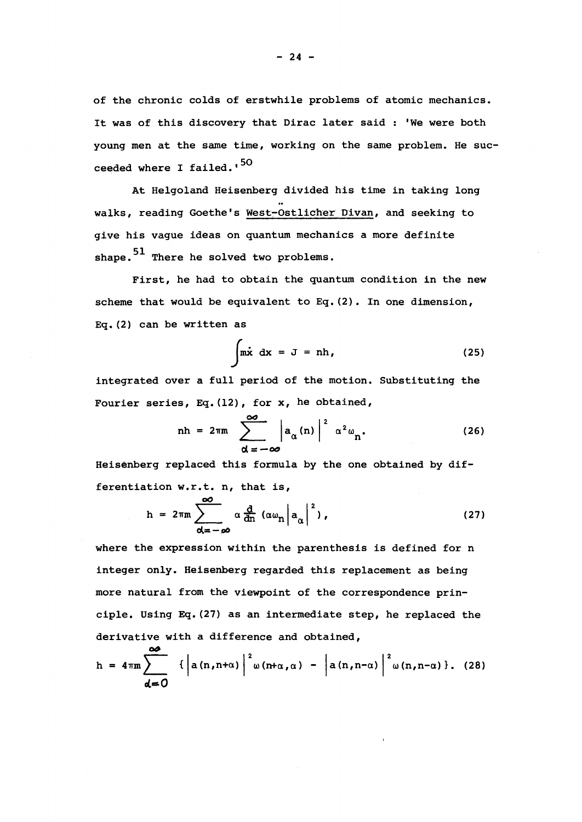of the chronic colds of erstwhile problems of atomic mechanics. It was of this discovery that Dirac later said : 'We were both young men at the same time, working on the same problem. He succeeded where I failed.'<sup>50</sup>

At Helgoland Heisenberg divided his time in taking long walks, reading Goethe's West-Ostlicher Divan, and seeking to give his vague ideas on quantum mechanics a more definite shape. $51$  There he solved two problems.

First, he had to obtain the quantum condition in the new scheme that would be equivalent to  $Eq. (2)$ . In one dimension, Eq.(2) can be written as

$$
\int \mathfrak{m}\dot{x} \, dx = J = nh,
$$
 (25)

integrated over a full period of the motion. Substituting the Fourier series, Eq.  $(12)$ , for x, he obtained,

$$
nh = 2\pi m \sum_{\alpha = -\infty}^{\infty} \left| a_{\alpha}(n) \right|^2 \alpha^2 \omega_n.
$$
 (26)

Heisenberg replaced this formula by the one obtained by differentiation  $w.r.t. n, that is,$ 

$$
h = 2\pi m \sum_{\alpha = -\infty}^{\infty} \alpha \frac{d}{dn} (\alpha \omega_n |a_{\alpha}|^2), \qquad (27)
$$

where the expression within the parenthesis is defined for n integer only. Heisenberg regarded this replacement as being more natural from the viewpoint of the correspondence principle. Using Eq.(27) as an intermediate step, he replaced the derivative with a difference and obtained,

$$
h = 4\pi m \sum_{d=0}^{\infty} \left\{ \left| a(n,n+\alpha) \right|^2 \omega(n+\alpha,\alpha) - \left| a(n,n-\alpha) \right|^2 \omega(n,n-\alpha) \right\}. (28)
$$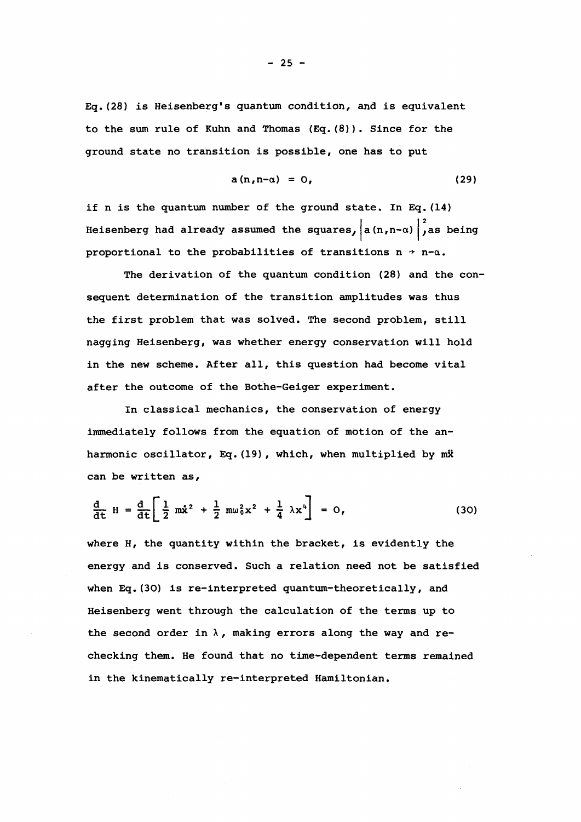Eq.(28) is Heisenberg's quantum condition, and is equivalent to the sum rule of Kuhn and Thomas  $(Eq.(\8))$ . Since for the ground state no transition is possible, one has to put

$$
a(n,n-\alpha) = 0, \qquad (29)
$$

if n is the quantum number of the ground state. In Eq. (14) Heisenberg had already assumed the squares,  $|a(n,n-a)|^2$ , as being proportional to the probabilities of transitions  $n \rightarrow n-a$ .

The derivation of the quantum condition (28) and the consequent determination of the transition amplitudes was thus the first problem that was solved. The second problem, still nagging Heisenberg, was whether energy conservation will hold in the new scheme. After all, this question had become vital after the outcome of the Bothe-Geiger experiment.

In classical mechanics, the conservation of energy immediately follows from the equation of motion of the anharmonic oscillator, Eq. (19), which, when multiplied by mx can be written as,

$$
\frac{d}{dt} H = \frac{d}{dt} \left[ \frac{1}{2} m \dot{x}^2 + \frac{1}{2} m \omega_0^2 x^2 + \frac{1}{4} \lambda x^4 \right] = 0,
$$
 (30)

where H, the quantity within the bracket, is evidently the energy and is conserved. Such a relation need not be satisfied when Eq.(30) is re-interpreted quantum-theoretically, and Heisenberg went through the calculation of the terms up to the second order in  $\lambda$ , making errors along the way and rechecking them. He found that no time-dependent terms remained in the kinematically re-interpreted Hamiltonian.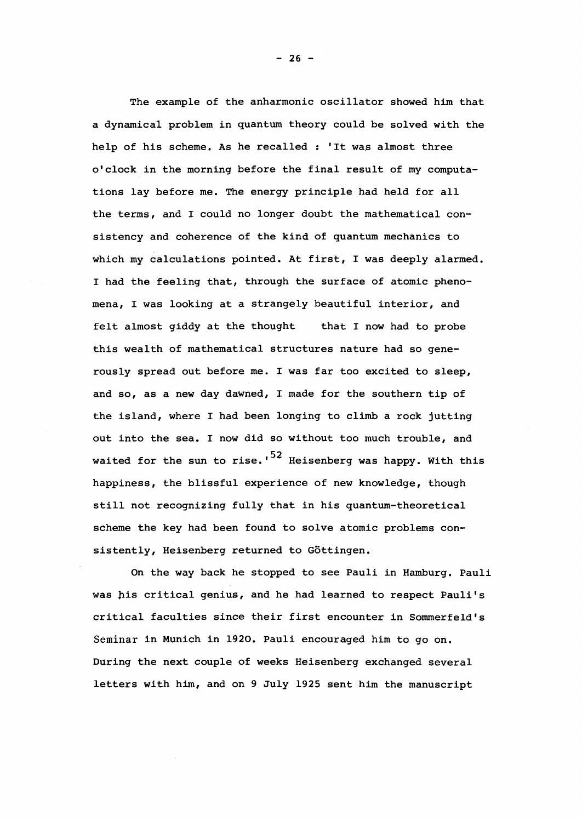The example of the anharmonic oscillator showed him that a dynamical problem in quantum theory could be solved with the help of his scheme. As he recalled : 'It was almost three o'clock in the morning before the final result of my computations lay before me. The energy principle had held for all the terms, and I could no longer doubt the mathematical consistency and coherence of the kind of quantum mechanics to which my calculations pointed. At first, I was deeply alarmed. I had the feeling that, through the surface of atomic phenomena, I was looking at a strangely beautiful interior, and felt almost giddy at the thought that I now had to probe this wealth of mathematical structures nature had so generously spread out before me. I was far too excited to sleep, and so, as a new day dawned, I made for the southern tip of the island, where I had been longing to climb a rock jutting out into the sea. I now did so without too much trouble, and waited for the sun to rise.'<sup>52</sup> Heisenberg was happy. With this happiness, the blissful experience of new knowledge, though still not recognizing fully that in his quantum-theoretical scheme the key had been found to solve atomic problems consistently, Heisenberg returned to Gôttingen.

On the way back he stopped to see Pauli in Hamburg. Pauli was his critical genius, and he had learned to respect Pauli's critical faculties since their first encounter in Sommerfeld's Seminar in Munich in 1920. Pauli encouraged him to go on. During the next couple of weeks Heisenberg exchanged several letters with him, and on 9 July 1925 sent him the manuscript

 $- 26 -$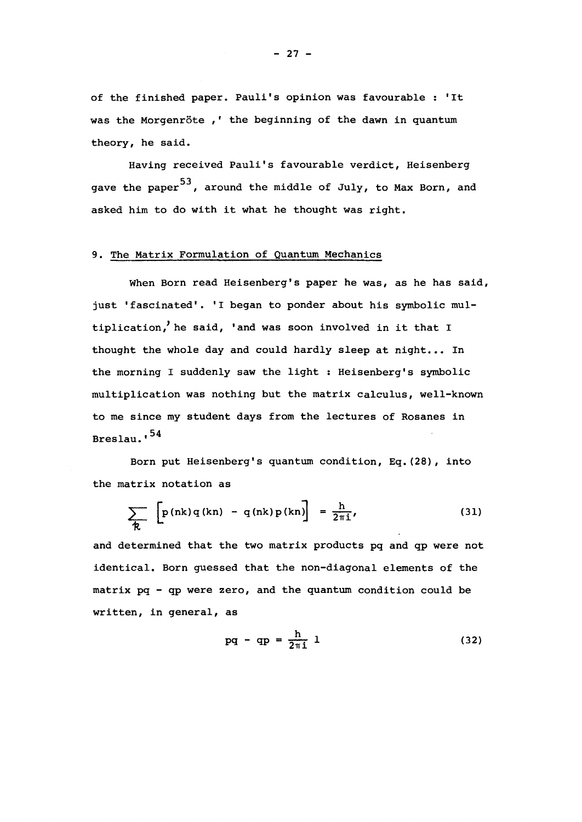of the finished paper. Pauli's opinion was favourable : 'It was the Morgenrôte ,' the beginning of the dawn in quantum theory, he said.

Having received Pauli's favourable verdict, Heisenberg gave the paper $^{\rm 53}$ , around the middle of July, to Max Born, and asked him to do with it what he thought was right.

## 9. The Matrix Formulation of Quantum Mechanics

When Born read Heisenberg's paper he was, as he has said, just 'fascinated'. 'I began to ponder about his symbolic multiplication/ he said, 'and was soon involved in it that I thought the whole day and could hardly sleep at night... In the morning I suddenly saw the light : Heisenberg's symbolic multiplication was nothing but the matrix calculus, well-known to me since my student days from the lectures of Rosanes in Breslau.'<sup>54</sup>

Born put Heisenberg's quantum condition, Eq.(28), into the matrix notation as

$$
\sum_{\mathcal{R}} \left[ p(nk) q(kn) - q(nk) p(kn) \right] = \frac{h}{2\pi i}, \qquad (31)
$$

and determined that the two matrix products pq and qp were not identical. Born guessed that the non-diagonal elements of the matrix pq - qp were zero, and the quantum condition could be written, in general, as

$$
pq - qp = \frac{h}{2\pi i} 1 \tag{32}
$$

 $- 27 -$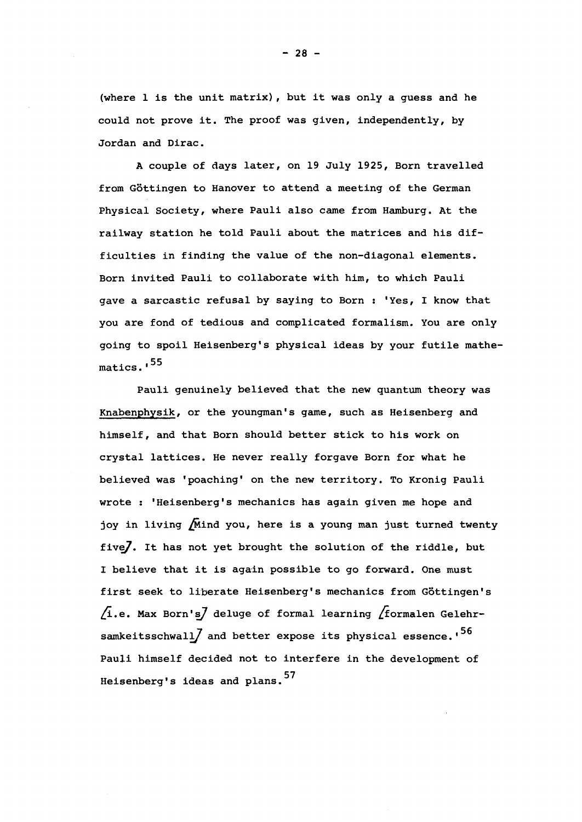(where 1 is the unit matrix), but it was only a guess and he could not prove it. The proof was given, independently, by Jordan and Dirac.

A couple of days later, on 19 July 1925, Born travelled from Gôttingen to Hanover to attend a meeting of the German Physical Society, where Pauli also came from Hamburg. At the railway station he told Pauli about the matrices and his difficulties in finding the value of the non-diagonal elements. Born invited Pauli to collaborate with him, to which Pauli gave a sarcastic refusal by saying to Born : "Yes, I know that you are fond of tedious and complicated formalism. You are only going to spoil Heisenberg's physical ideas by your futile mathematics.<sup>155</sup>

Pauli genuinely believed that the new quantum theory was Knabenphysik, or the youngman's game, such as Heisenberg and himself, and that Born should better stick to his work on crystal lattices. He never really forgave Born for what he believed was 'poaching' on the new territory. To Kronig Pauli wrote : 'Heisenberg's mechanics has again given me hope and joy in living  $\sqrt{N}$ ind you, here is a young man just turned twenty five]. It has not yet brought the solution of the riddle, but I believe that it is again possible to go forward. One must first seek to liberate Heisenberg's mechanics from Göttingen's  $\sqrt{1}$ .e. Max Born's $\sqrt{1}$  deluge of formal learning  $\sqrt{1}$  formalen Gelehrsamkeitsschwall $\int$  and better expose its physical essence.'<sup>56</sup> Pauli himself decided not to interfere in the development of 57 Heisenberg's ideas and plans.

 $- 28 -$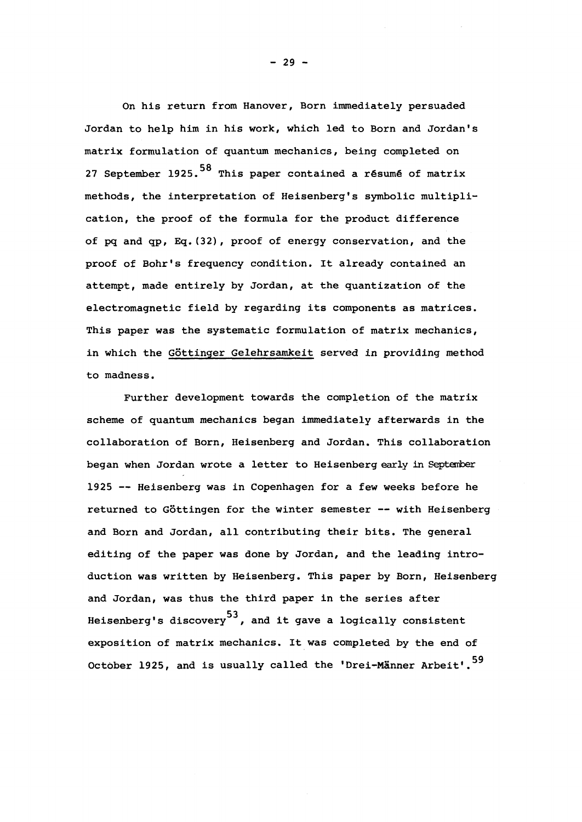On his return from Hanover, Born immediately persuaded Jordan to help him in his work, which led to Born and Jordan's matrix formulation of quantum mechanics, being completed on 27 September 1925.<sup>58</sup> This paper contained a résumé of matrix methods, the interpretation of Heisenberg's symbolic multiplication, the proof of the formula for the product difference cation, the proof of the formula for the product difference of pq and qp, Eq.(32), proof of energy conservation, and the proof of Bohr's frequency condition. It already contained an proof of Bohr's frequency condition. It already contained an attempt, made entirely by Jordan, at the quantization of the electromagnetic field by regarding its components as matrices. This paper was the systematic formulation of  $\mathcal{D}_\mathcal{A}$  mechanics,  $\mathcal{D}_\mathcal{A}$  mechanics,  $\mathcal{D}_\mathcal{A}$ in which the Gottinger Gelehrsam in the Gottinger Gelehrsam in providing method in providing method in providi<br>The Gotting method in providing method in providing method in providing method in providing method in the Comp to madness.

Further development towards the completion of the matrix Further development towards the completion of the matrix scheme of quantum mechanics began immediately afterwards in the collaboration of Born, Heisenberg and Jordan. This collaboration began when Jordan wrote a letter to Heisenberg early in Septemberg early in Septemberg early in Septemberg early in 1925 — Heisenberg was in Copenhagen for a few weeks before he returned to Gottingen for the winter semester — with Heisenberg and Born and Jordan, all contributing their bits. The general editing of the paper was done by Jordan, and the leading introduction was written by Heisenberg. This paper by Born, Heisenberg and Jordan, was the third paper in the series after in the series after  $\mathbf{r}$ Heisenberg's discovery $^{\mathsf{53}}$ , and it gave a logically consistent exposition of matrix mechanics. It was completed by the end of October 1925, and is usually called the 'Drei-Männer Arbeit'.<sup>59</sup>

 $- 29 -$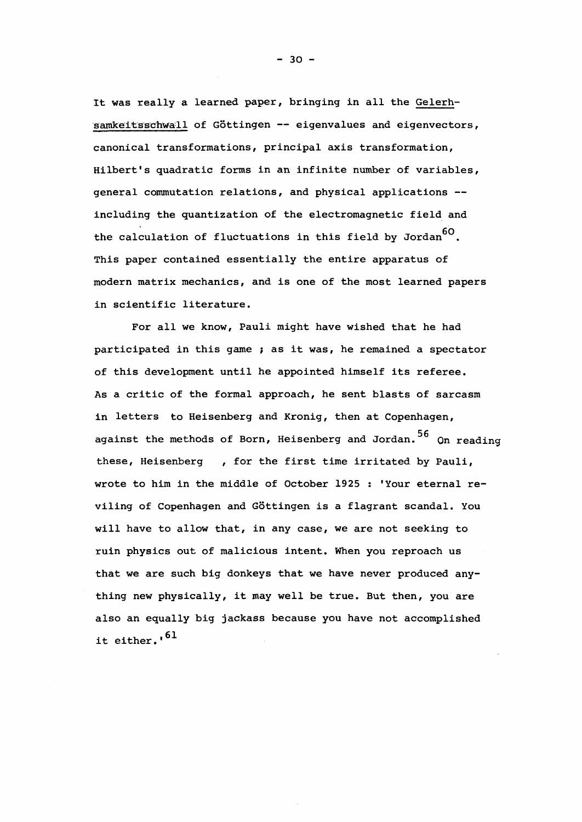It was really a learned paper, bringing in all the Gelerhsamkeitsschwall of Göttingen -- eigenvalues and eigenvectors, canonical transformations, principal axis transformation, Hilbert's quadratic forms in an infinite number of variables, general commutation relations, and physical applications including the quantization of the electromagnetic field and the calculation of fluctuations in this field by Jordan<sup>60</sup>. This paper contained essentially the entire apparatus of modern matrix mechanics, and is one of the most learned papers in scientific literature.

For all we know, Pauli might have wished that he had participated in this game ; as it was, he remained a spectator of this development until he appointed himself its referee. As a critic of the formal approach, he sent blasts of sarcasm in letters to Heisenberg and Kronig, then at Copenhagen, against the methods of Born, Heisenberg and Jordan.<sup>56</sup> On reading these, Heisenberg , for the first time irritated by Pauli, wrote to him in the middle of October 1925 : 'Your eternal reviling of Copenhagen and Göttingen is a flagrant scandal. You will have to allow that, in any case, we are not seeking to ruin physics out of malicious intent. When you reproach us that we are such big donkeys that we have never produced anything new physically, it may well be true. But then, you are also an equally big jackass because you have not accomplished it either.'<sup>61</sup>

 $- 30 -$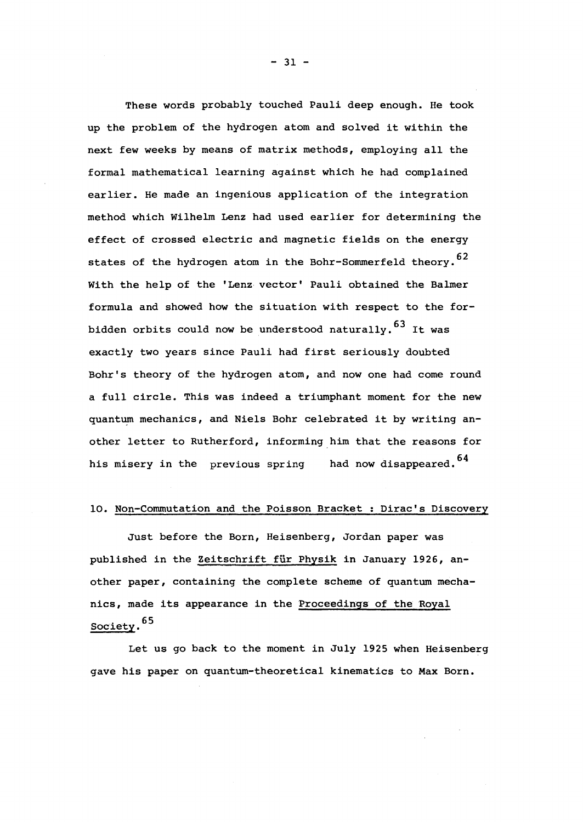These words probably touched Pauli deep enough. He took up the problem of the hydrogen atom and solved it within the next few weeks by means of matrix methods, employing all the formal mathematical learning against which he had complained earlier. He made an ingenious application of the integration method which Wilhelm Lenz had used earlier for determining the effect of crossed electric and magnetic fields on the energy states of the hydrogen atom in the Bohr-Sommerfeld theory.<sup>62</sup> With the help of the 'Lenz vector' Pauli obtained the Balmer formula and showed how the situation with respect to the for- $\overline{\mathbf{c}}$ bidden orbits could now be understood naturally.  $^{\circ}$  It was exactly two years since Pauli had first seriously doubted Bohr's theory of the hydrogen atom, and now one had come round a full circle. This was indeed a triumphant moment for the new quantum mechanics, and Niels Bohr celebrated it by writing another letter to Rutherford, informing him that the reasons for his misery in the previous spring had now disappeared.  $^{64}$ 

#### 10. Non-Commutation and the Poisson Bracket : Dirac's Discovery

Just before the Born, Heisenberg, Jordan paper was published in the Zeitschrift für Physik in January 1926, another paper, containing the complete scheme of quantum mechanics, made its appearance in the Proceedings of the Royal Society.<sup>65</sup>

Let us go back to the moment in July 1925 when Heisenberg gave his paper on quantum-theoretical kinematics to Max Born.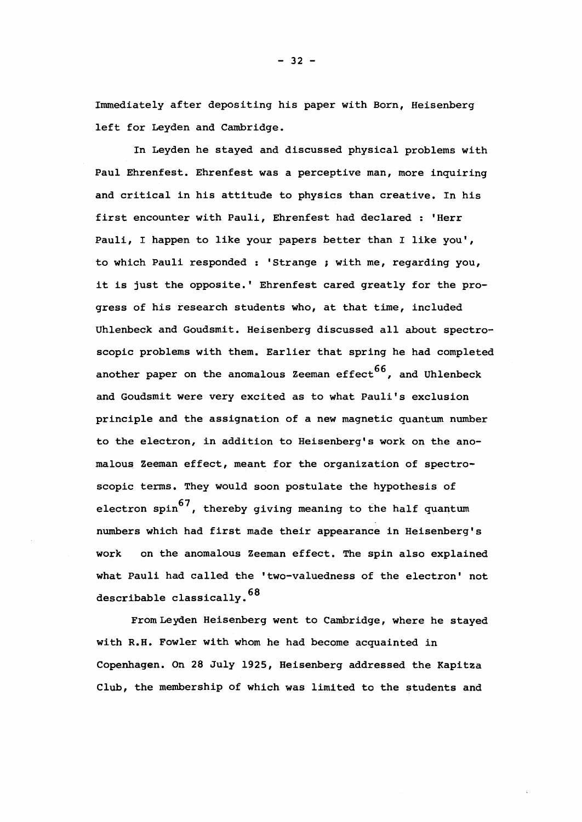Immediately after depositing his paper with Born, Heisenberg left for Leyden and Cambridge.

In Leyden he stayed and discussed physical problems with Paul Ehrenfest. Ehrenfest was a perceptive man, more inquiring and critical in his attitude to physics than creative. In his first encounter with Pauli, Ehrenfest had declared : 'Herr Pauli, I happen to like your papers better than I like you', to which Pauli responded : 'Strange ; with me, regarding you, it is just the opposite.' Ehrenfest cared greatly for the progress of his research students who, at that time, included Uhlenbeck and Goudsmit. Heisenberg discussed all about spectroscopic problems with them. Earlier that spring he had completed another paper on the anomalous Zeeman effect  $66$ , and Uhlenbeck and Goudsmit were very excited as to what Pauli's exclusion principle and the assignation of a new magnetic quantum number to the electron, in addition to Heisenberg's work on the anomalous Zeeman effect, meant for the organization of spectroscopic terms. They would soon postulate the hypothesis of electron spin<sup>67</sup>, thereby giving meaning to the half quantum numbers which had first made their appearance in Heisenberg's work on the anomalous Zeeman effect. The spin also explained what Pauli had called the 'two-valuedness of the electron' not describable classically.<sup>68</sup>

From Leyden Heisenberg went to Cambridge, where he stayed with R.H. Fowler with whom he had become acquainted in Copenhagen. On 28 July 1925, Heisenberg addressed the Kapitza Club, the membership of which was limited to the students and

 $- 32 -$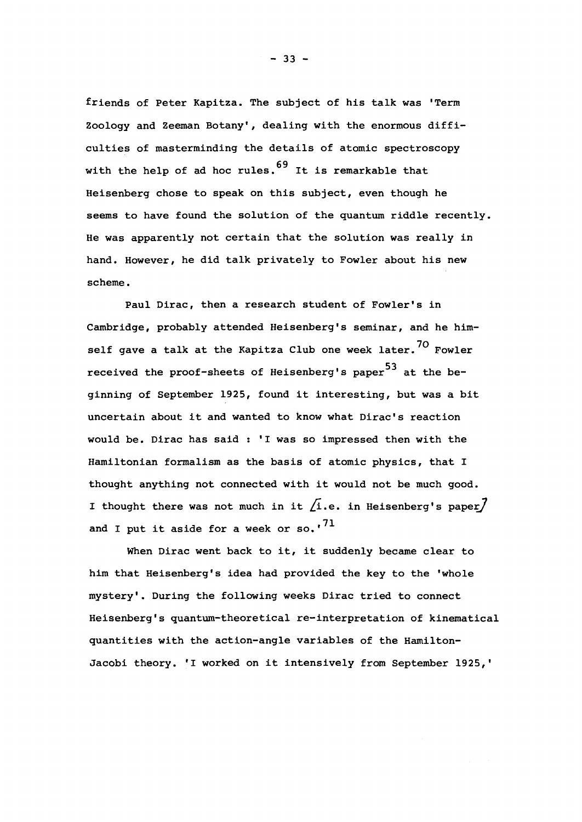friends of Peter Kapitza. The subject of his talk was 'Term Zoology and Zeeman Botany', dealing with the enormous difficulties of masterminding the details of atomic spectroscopy with the help of ad hoc rules.  $69$  It is remarkable that Heisenberg chose to speak on this subject, even though he seems to have found the solution of the quantum riddle recently. He was apparently not certain that the solution was really in hand. However, he did talk privately to Fowler about his new scheme.

Paul Dirac, then a research student of Fowler's in Cambridge, probably attended Heisenberg's seminar, and he himself gave a talk at the Kapitza Club one week later.<sup>70</sup> Fowler received the proof-sheets of Heisenberg's paper<sup>53</sup> at the beginning of September 1925, found it interesting, but was a bit uncertain about it and wanted to know what Dirac's reaction would be. Dirac has said : "I was so impressed then with the Hamiltonian formalism as the basis of atomic physics, that I thought anything not connected with it would not be much good. I thought there was not much in it  $/1$ .e. in Heisenberg's paper $/$ and I put it aside for a week or so.' $^{71}$ 

When Dirac went back to it, it suddenly became clear to him that Heisenberg's idea had provided the key to the 'whole mystery'. During the following weeks Dirac tried to connect Heisenberg's quantum-theoretical re-interpretation of kinematical quantities with the action-angle variables of the Hamilton-Jacobi theory. 'I worked on it intensively from September 1925,'

 $- 33 -$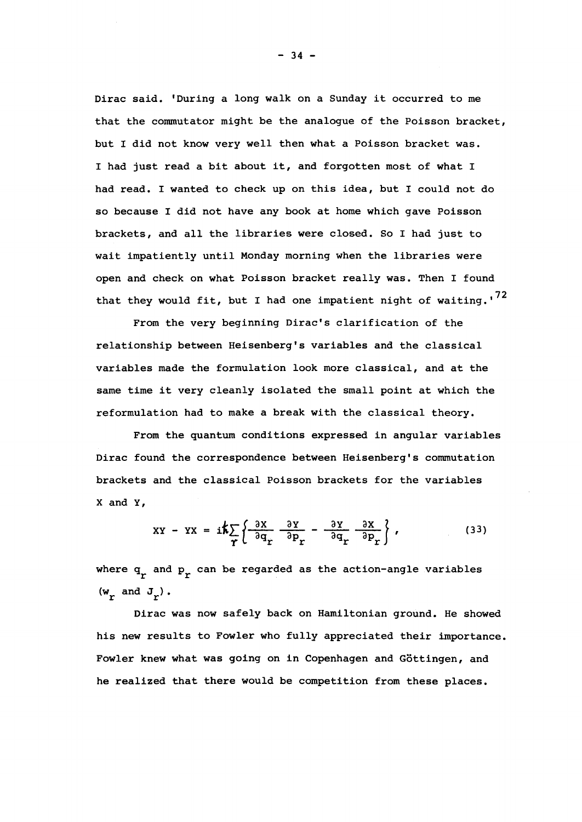Dirac said. 'During a long walk on a Sunday it occurred to me that the commutator might be the analogue of the Poisson bracket, but I did not know very well then what a Poisson bracket was. I had just read a bit about it, and forgotten most of what I had read. I wanted to check up on this idea, but I could not do so because I did not have any book at home which gave Poisson brackets, and all the libraries were closed. So I had just to wait impatiently until Monday morning when the libraries were open and check on what Poisson bracket really was. Then I found that they would fit, but I had one impatient night of waiting.' $^{72}$ 

From the very beginning Dirac's clarification of the relationship between Heisenberg's variables and the classical variables made the formulation look more classical, and at the same time it very cleanly isolated the small point at which the reformulation had to make a break with the classical theory.

From the quantum conditions expressed in angular variables Dirac found the correspondence between Heisenberg's commutation brackets and the classical Poisson brackets for the variables X and Y,

$$
XY - YX = i\hbar \sum_{\Upsilon} \left\{ \frac{\partial X}{\partial q_{\Upsilon}} - \frac{\partial Y}{\partial p_{\Upsilon}} - \frac{\partial Y}{\partial q_{\Upsilon}} - \frac{\partial X}{\partial p_{\Upsilon}} \right\},
$$
(33)

where  $q_r$  and  $p_r$  can be regarded as the action-angle variables  $(w_r \text{ and } J_r)$ .

Dirac was now safely back on Hamiltonian ground. He showed his new results to Fowler who fully appreciated their importance. Fowler knew what was going on in Copenhagen and Gôttingen, and he realized that there would be competition from these places.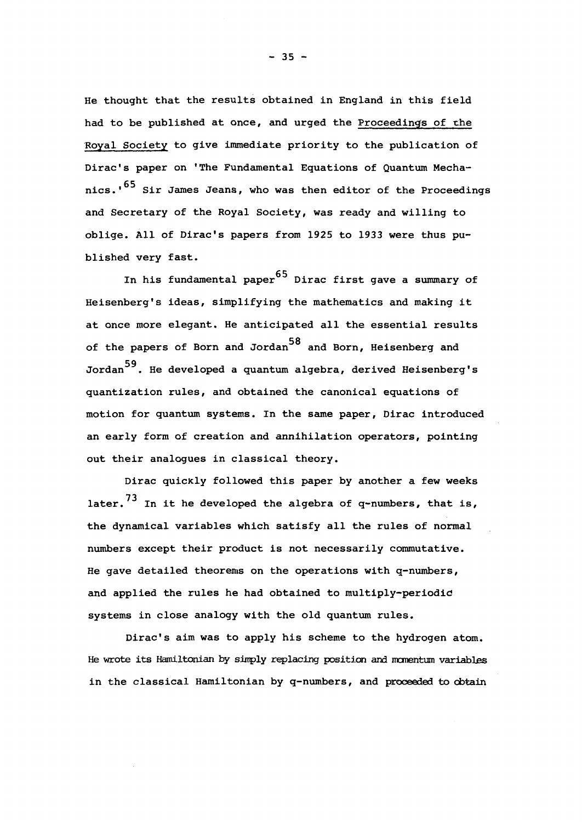He thought that the results obtained in England in this field had to be published at once, and urged the Proceedings of the Royal Society to give immediate priority to the publication of Dirac's paper on 'The Fundamental Equations of Quantum Mechanics.'<sup>65</sup> Sir James Jeans, who was then editor of the Proceedings and Secretary of the Royal Society, was ready and willing to oblige. All of Dirac's papers from 1925 to 1933 were thus published very fast.

In his fundamental paper  $65$  Dirac first gave a summary of Heisenberg's ideas, simplifying the mathematics and making it at once more elegant. He anticipated all the essential results of the papers of Born and Jordan<sup>58</sup> and Born, Heisenberg and Jordan<sup>59</sup>. He developed a quantum algebra, derived Heisenberg's quantization rules, and obtained the canonical equations of motion for quantum systems. In the same paper, Dirac introduced an early form of creation and annihilation operators, pointing out their analogues in classical theory.

Dirac quicKly followed this paper by another a few weeks later.<sup>73</sup> In it he developed the algebra of q-numbers, that is, the dynamical variables which satisfy all the rules of normal numbers except their product is not necessarily commutative. He gave detailed theorems on the operations with q-numbers, and applied the rules he had obtained to multiply-periodic systems in close analogy with the old quantum rules.

Dirac's aim was to apply his scheme to the hydrogen atom. He wrote its Hamiltonian by simply replacing position and momentum variables in the classical Hamiltonian by q-numbers, and proceeded to obtain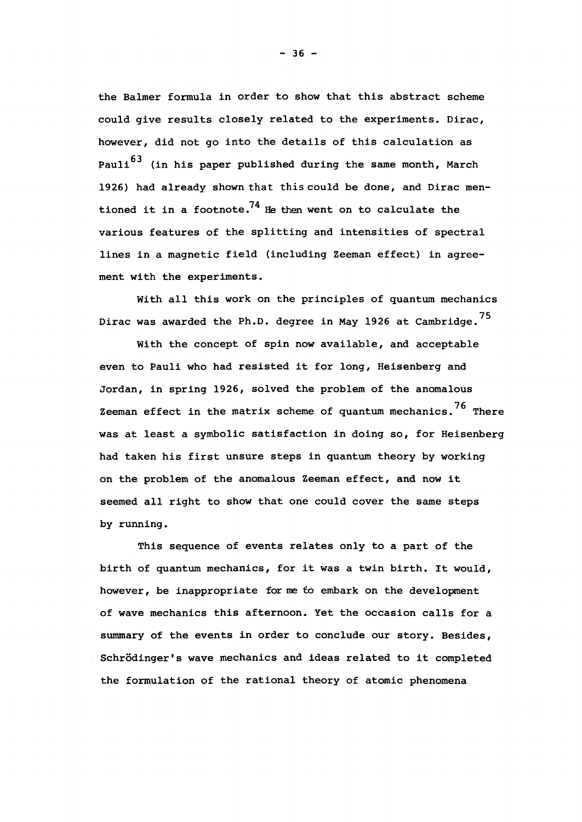the Balmer formula in order to show that this abstract scheme could give results closely related to the experiments. Dirac, however, did not go into the details of this calculation as Pauli<sup>63</sup> (in his paper published during the same month, March 1926) had already shown that this could be done, and Dirac mentioned it in a footnote.<sup>74</sup> He then went on to calculate the various features of the splitting and intensities of spectral lines in a magnetic field (including Zeeman effect) in agreement with the experiments.

With all this work on the principles of quantum mechanics Dirac was awarded the Ph.D. degree in May 1926 at Cambridge.<sup>75</sup>

With the concept of spin now available, and acceptable even to Pauli who had resisted it for long, Heisenberg and Jordan, in spring 1926, solved the problem of the anomalous Zeeman effect in the matrix scheme of quantum mechanics.<sup>76</sup> There was at least a symbolic satisfaction in doing so, for Heisenberg had taken his first unsure steps in quantum theory by working on the problem of the anomalous Zeeman effect, and now it seemed all right to show that one could cover the same steps by running.

This sequence of events relates only to a part of the birth of quantum mechanics, for it was a twin birth. It would, however, be inappropriate forme *to* embark on the development of wave mechanics this afternoon. Yet the occasion calls for a summary of the events in order to conclude our story. Besides, Schrôdinger's wave mechanics and ideas related to it completed the formulation of the rational theory of atomic phenomena

 $- 36 -$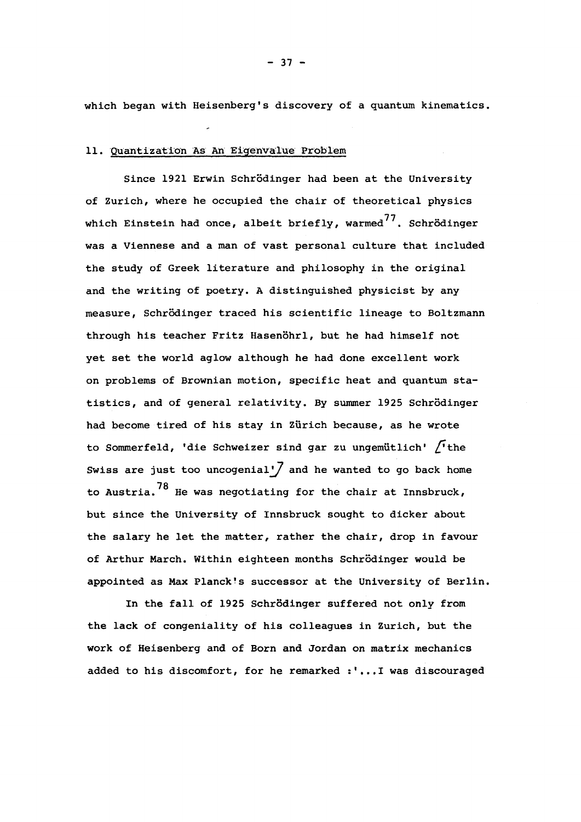which began with Heisenberg's discovery of a quantum kinematics.

#### 11. Quantization As An Eigenvalue Problem

Since 1921 Erwin Schrödinger had been at the University of Zurich, where he occupied the chair of theoretical physics which Einstein had once, albeit briefly, warmed $^{77}$ . Schrödinger was a Viennese and a man of vast personal culture that included the study of Greek literature and philosophy in the original and the writing of poetry. A distinguished physicist by any measure, Schrödinger traced his scientific lineage to Boltzmann through his teacher Fritz Hasenôhrl, but he had himself not yet set the world aglow although he had done excellent work on problems of Brownian motion, specific heat and quantum statistics, and of general relativity. By summer 1925 Schrödinger had become tired of his stay in Zürich because, as he wrote to Sommerfeld, 'die Schweizer sind gar zu ungemütlich' fthe Swiss are just too uncogenial' $\int$  and he wanted to go back home to Austria.<sup>78</sup> He was negotiating for the chair at Innsbruck, but since the University of Innsbruck sought to dicker about the salary he let the matter, rather the chair, drop in favour of Arthur March. Within eighteen months Schrödinger would be appointed as Max Planck's successor at the University of Berlin.

In the fall of 1925 Schrödinger suffered not only from the lack of congeniality of his colleagues in Zurich, but the work of Heisenberg and of Born and Jordan on matrix mechanics added to his discomfort, for he remarked :'...! was discouraged

 $- 37 -$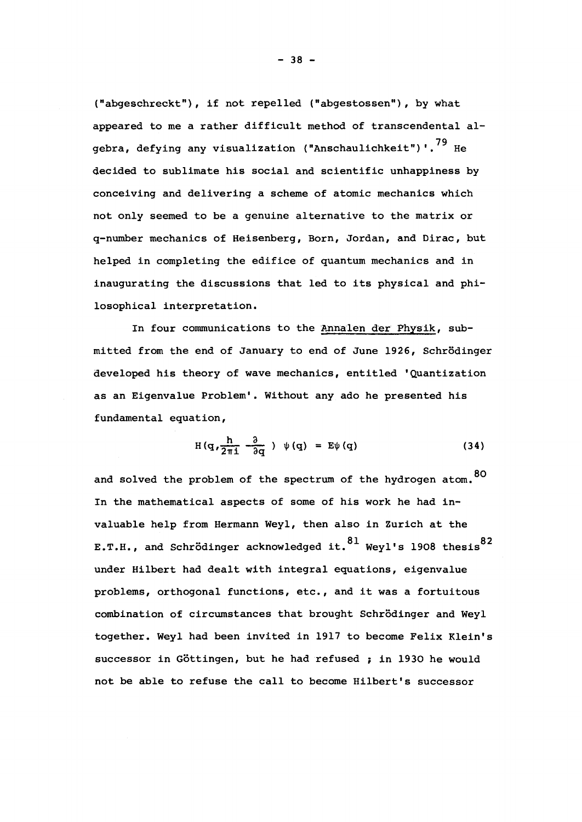("abgeschreckt"), if not repelled ("abgestossen"), by what appeared to me a rather difficult method of transcendental algebra, defying any visualization ("Anschaulichkeit")'.<sup>79</sup> He decided to sublimate his social and scientific unhappiness by conceiving and delivering a scheme of atomic mechanics which not only seemed to be a genuine alternative to the matrix or q-number mechanics of Heisenberg, Born, Jordan, and Dirac, but helped in completing the edifice of quantum mechanics and in inaugurating the discussions that led to its physical and philosophical interpretation.

In four communications to the Annalen der Fhysik, submitted from the end of January to end of June 1926, Schrödinger developed his theory of wave mechanics, entitled 'Quantization as an Eigenvalue Problem'. Without any ado he presented his fundamental equation,

$$
H(q, \frac{h}{2\pi i} \frac{\partial}{\partial q} ) \psi(q) = E\psi(q)
$$
 (34)

and solved the problem of the spectrum of the hydrogen atom.<sup>80</sup> In the mathematical aspects of some of his work he had invaluable help from Hermann Weyl, then also in Zurich at the E.T.H., and Schrödinger acknowledged it.  $81$  Weyl's 1908 thesis  $82$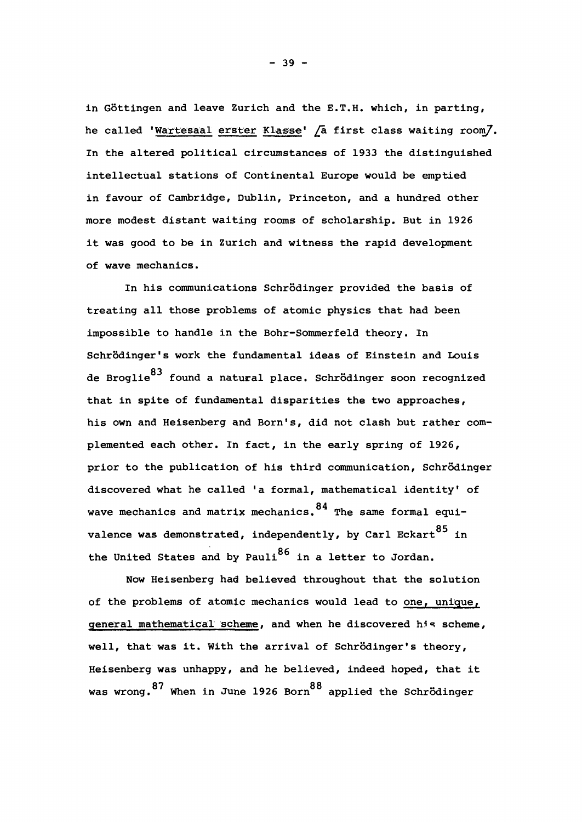in Gôttingen and leave Zurich and the E.T.H. which, in parting, he called 'Wartesaal erster Klasse' /a first class waiting room/. In the altered political circumstances of 1933 the distinguished intellectual stations of Continental Europe would be emptied in favour of Cambridge, Dublin, Princeton, and a hundred other more modest distant waiting rooms of scholarship. But in 1926 it was good to be in Zurich and witness the rapid development of wave mechanics.

In his communications Schrödinger provided the basis of treating all those problems of atomic physics that had been impossible to handle in the Bohr-Sommerfeld theory. In Schrödinger's work the fundamental ideas of Einstein and Louis de Broglie<sup>83</sup> found a natural place. Schrödinger soon recognized that in spite of fundamental disparities the two approaches, his own and Heisenberg and Born's, did not clash but rather complemented each other. In fact, in the early spring of 1926, prior to the publication of his third communication, Schrödinger discovered what he called 'a formal, mathematical identity' of wave mechanics and matrix mechanics.  $^{84}$  The same formal equivalence was demonstrated, independently, by Carl Eckart  $85$  in the United States and by Pauli $^{86}$  in a letter to Jordan.

Now Heisenberg had believed throughout that the solution of the problems of atomic mechanics would lead to one, unique, general mathematical scheme, and when he discovered his scheme, well, that was it. With the arrival of Schrödinger's theory, Heisenberg was unhappy, and he believed, indeed hoped, that it  $87$  when in June 1926 Born $88$ was wrong. When in June 1916 Born applied the Sonformger

 $- 39 -$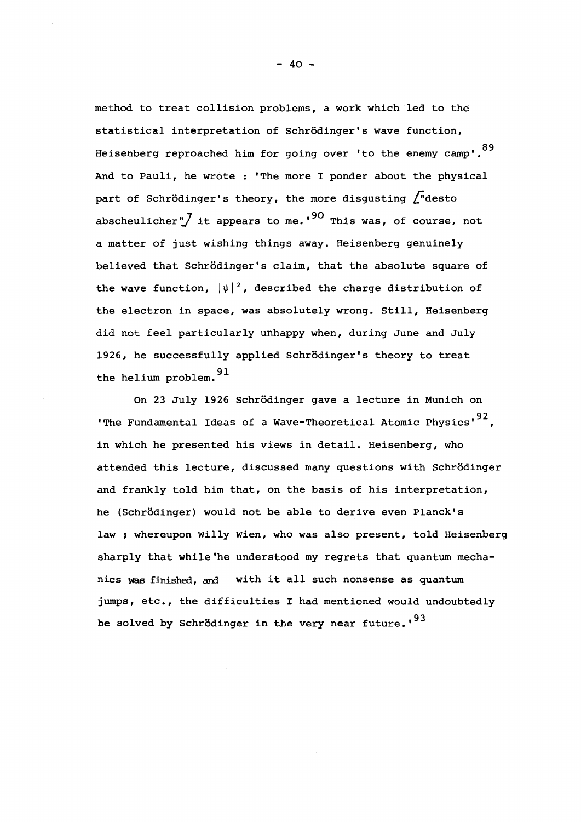method to treat collision problems, a work which led to thé statistical interpretation of Schrödinger's wave function, Heisenberg reproached him for going over 'to the enemy camp'.<sup>89</sup> And to Pauli, he wrote : 'The more I ponder about the physical part of Schrödinger's theory, the more disgusting  $\int$  desto abscheulicher", it appears to me.  $90$  This was, of course, not a matter of just wishing things away. Heisenberg genuinely believed that Schrödinger's claim, that the absolute square of the wave function,  $|\psi|^2$ , described the charge distribution of the electron in space, was absolutely wrong. Still, Heisenberg did not feel particularly unhappy when, during June and July 1926, he successfully applied Schrödinger's theory to treat  $1626$  he successfully applied Schrodinger's theory to treatment  $91$ the helium problem.  $^{-}$ 

On 23 July 1926 Schrödinger gave a lecture in Munich on 'The Fundamental Ideas of a Wave-Theoretical Atomic Physics'<sup>92</sup>, in which he presented his views in detail. Heisenberg, who attended this lecture, discussed many questions with Schrödinger and frankly told him that, on the basis of his interpretation, he (Schrödinger) would not be able to derive even Planck's law ; whereupon Willy Wien, who was also present, told Heisenberg sharply that while 'he understood my regrets that quantum mechanics was finished, and with it all such nonsense as quantum jumps, etc., the difficulties I had mentioned would undoubtedly be solved by Schrödinger in the very near future.' $93$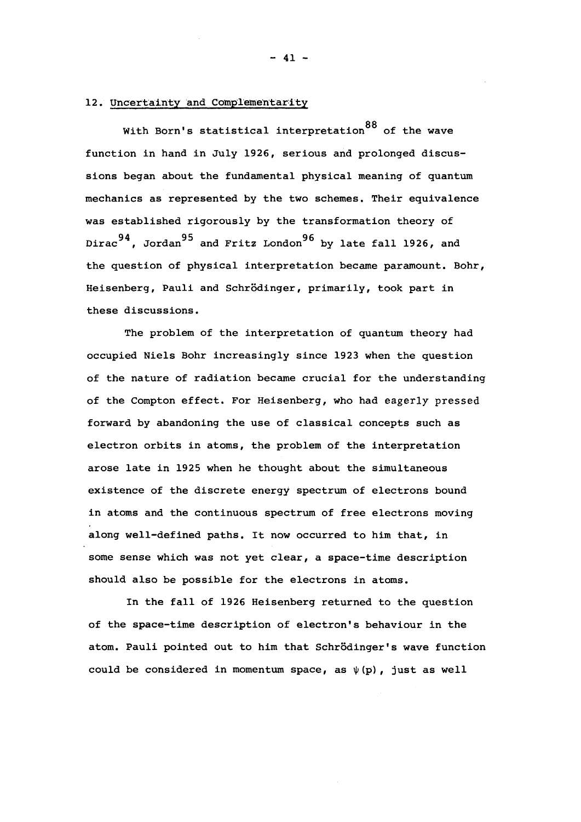## 12. Uncertainty and Complementarity

With Born's statistical interpretation<sup>88</sup> of the wave function in hand in July 1926, serious and prolonged discusmechanics as represented by the two schemes. Their equivalence was established rigorously by the transformation theory of  $\overline{q}$  as the transformation the transformation the transformation the transformation the transformation the transformation the transformation the transformation the transformation the transformation the transformation , Jordan and Fritz London the question of physical interpretation became paramount. Bohr, Heisenberg, Pauli and Schrödinger, primarily, took part in these discussions.

The problem of the interpretation of quantum theory had occupied Niels Bohr increasingly since 1923 when the question of the nature of radiation became crucial for the understanding of the Compton effect. For Heisenberg, who had eagerly pressed forward by abandoning the use of classical concepts such as electron orbits in atoms, the problem of the interpretation arose late in 1925 when he thought about the simultaneous existence of the discrete energy spectrum of electrons bound in atoms and the continuous spectrum of free electrons moving along well-defined paths. It now occurred to him that, in some sense which was not yet clear, a space-time description should also be possible for the electrons in atoms.

In the fall of 1926 Heisenberg returned to the question of the space-time description of electron's behaviour in the atom. Pauli pointed out to him that Schrödinger's wave function could be considered in momentum space, as  $\psi(p)$ , just as well

 $- 41 -$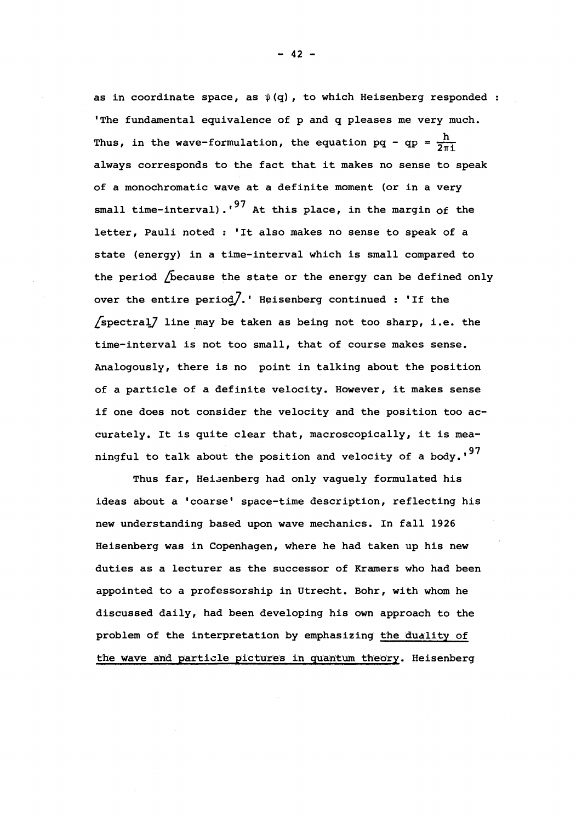as in coordinate space, as  $\psi(q)$ , to which Heisenberg responded : 'The fundamental equivalence of p and q pleases me very much. Thus, in the wave-formulation, the equation pq - qp =  $\frac{h}{2\pi i}$ always corresponds to the fact that it makes no sense to speak of a monochromatic wave at a definite moment (or in a very small time-interval).<sup>'97</sup> At this place, in the margin of the letter, Pauli noted : 'It also makes no sense to speak of a state (energy) in a time-interval which is small compared to the period /because the state or the energy can be defined only over the entire period].' Heisenberg continued : 'If the  $/$ spectral $/$  line may be taken as being not too sharp, i.e. the time-interval is not too small, that of course makes sense. Analogously, there is no point in talking about the position of a particle of a definite velocity. However, it makes sense if one does not consider the velocity and the position too accurately. It is quite clear that, macroscopically, it is meaningful to talk about the position and velocity of a body.'<sup>97</sup>

Thus far, Heisenberg had only vaguely formulated his ideas about a 'coarse' space-time description, reflecting his new understanding based upon wave mechanics. In fall 1926 Heisenberg was in Copenhagen, where he had taken up his new duties as a lecturer as the successor of Kramers who had been appointed to a professorship in Utrecht. Bohr, with whom he discussed daily, had been developing his own approach to the problem of the interpretation by emphasizing the duality of the wave and particle pictures in quantum theory. Heisenberg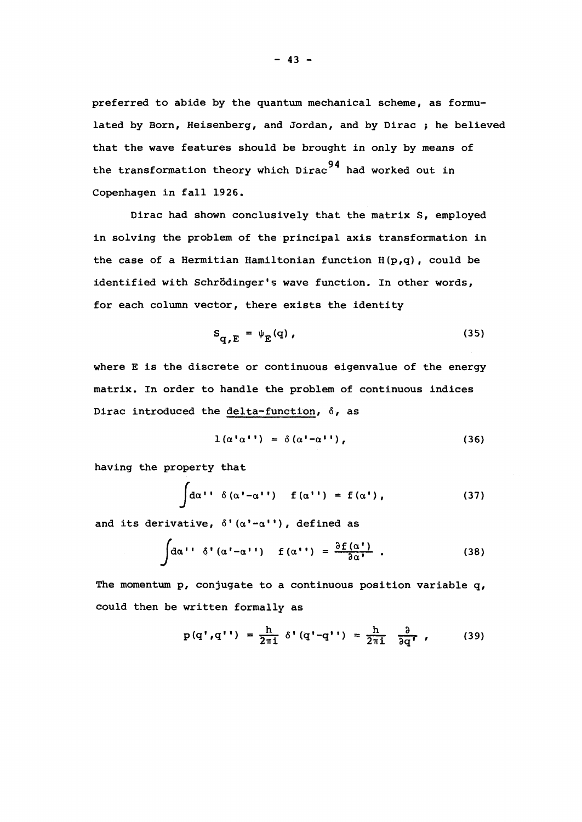preferred to abide by the quantum mechanical scheme, as formulated by Born, Heisenberg, and Jordan, and by Dirac ; he believed that the wave features should be brought in only by means of the transformation theory which Dirac<sup>94</sup> had worked out in Copenhagen in fall 1926.

Dirac had shown conclusively that the matrix S, employed in solving the problem of the principal axis transformation in the case of a Hermitian Hamiltonian function  $H(p,q)$ , could be identified with Schrôdinger's wave function. In other words, for each column vector, there exists the identity

$$
S_{q,E} = \psi_E(q), \qquad (35)
$$

where E is the discrete or continuous eigenvalue of the energy matrix. In order to handle the problem of continuous indices Dirac introduced the delta~function, 6, as

$$
1(\alpha^{\dagger}\alpha^{\dagger}) = \delta(\alpha^{\dagger} - \alpha^{\dagger}) , \qquad (36)
$$

having the property that

$$
\int d\alpha \cdot \cdot \delta(\alpha' - \alpha' \cdot) = f(\alpha' \cdot) = f(\alpha') \tag{37}
$$

and its derivative,  $\delta'(\alpha'-\alpha'')$ , defined as

$$
\int d\alpha' \, \delta' \, (\alpha' - \alpha'') \quad f(\alpha'') = \frac{\partial f(\alpha')}{\partial \alpha'} \quad . \tag{38}
$$

The momentum p, conjugate to a continuous position variable q, could then be written formally as

$$
p(q', q'') = \frac{h}{2\pi i} \delta'(q'-q'') = \frac{h}{2\pi i} \frac{\partial}{\partial q'} \qquad (39)
$$

 $- 43 -$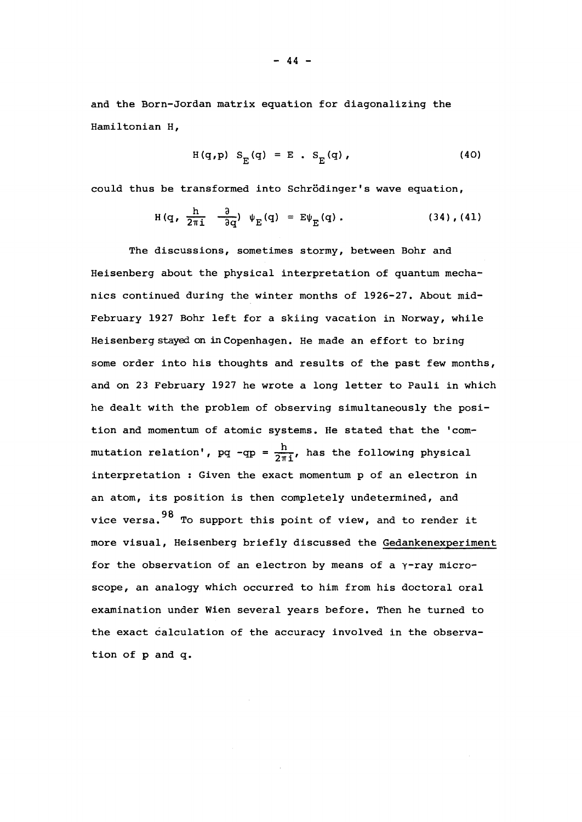and the Born-Jordan matrix equation for diagonalizing the Hamiltonian H,

$$
H(q, p) SF(q) = E . SF(q), \qquad (40)
$$

could thus be transformed into Schrôdinger's wave equation,

$$
H(q, \frac{h}{2\pi i} \quad \frac{\partial}{\partial q}) \quad \psi_E(q) = E\psi_E(q) \ . \tag{34}, (41)
$$

The discussions, sometimes stormy, between Bohr and Heisenberg about the physical interpretation of quantum mechanics continued during the winter months of 1926-27. About mid-February 1927 Bohr left for a skiing vacation in Norway, while Heisenberg stayed on in Copenhagen. He made an effort to bring some order into his thoughts and results of the past few months, and on 23 February 1927 he wrote a long letter to Pauli in which he dealt with the problem of observing simultaneously the position and momentum of atomic systems. He stated that the 'commutation relation',  $pq - qp = \frac{h}{2\pi i}$ , has the following physical interpretation : Given the exact momentum p of an electron in an atom, its position is then completely undetermined, and vice versa. <sup>98</sup> To support this point of view, and to render it more visual, Heisenberg briefly discussed the Gedankenexperiment for the observation of an electron by means of a  $\gamma$ -ray microscope, an analogy which occurred to him from his doctoral oral examination under Wien several years before. Then he turned to the exact calculation of the accuracy involved in the observation of p and q.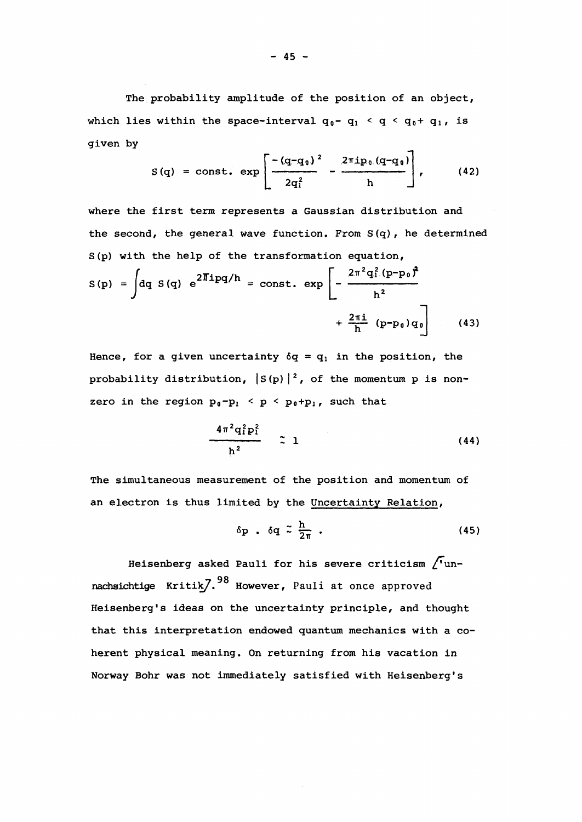The probability amplitude of the position of an object, which lies within the space-interval  $q_0 - q_1 < q < q_0 + q_1$ , is given by

$$
S(q) = \text{const.} \exp \left[ \frac{- (q - q_0)^2}{2q_1^2} - \frac{2 \pi i p_0 (q - q_0)}{h} \right], \qquad (42)
$$

where the first term represents a Gaussian distribution and the second, the general wave function. From S(q), he determined S(p) with the help of the transformation equation,

$$
S(p) = \int dq S(q) e^{2\pi i p q/h} = const. exp \left[ -\frac{2\pi^2 q_1^2 (p-p_0)^2}{h^2} + \frac{2\pi i}{h} (p-p_0) q_0 \right]
$$
(43)

Hence, for a given uncertainty  $\delta q = q_1$  in the position, the probability distribution,  $|S(p)|^2$ , of the momentum p is nonzero in the region  $p_0 - p_1 < p < p_0 + p_1$ , such that

$$
\frac{4\pi^2q_1^2p_1^2}{h^2} \qquad \qquad \tilde{=} \qquad \qquad (44)
$$

The simultaneous measurement of the position and momentum of an electron is thus limited by the Uncertainty Relation,

$$
\delta p \cdot \delta q \stackrel{\sim}{\sim} \frac{h}{2\pi} \cdot \tag{45}
$$

Heisenberg asked Pauli for his severe criticism /"un nachsichtige Kritik $7.98$  However, Pauli at once approved Heisenberg's ideas on the uncertainty principle, and thought that this interpretation endowed quantum mechanics with a coherent physical meaning. On returning from his vacation in Norway Bohr was not immediately satisfied with Heisenberg's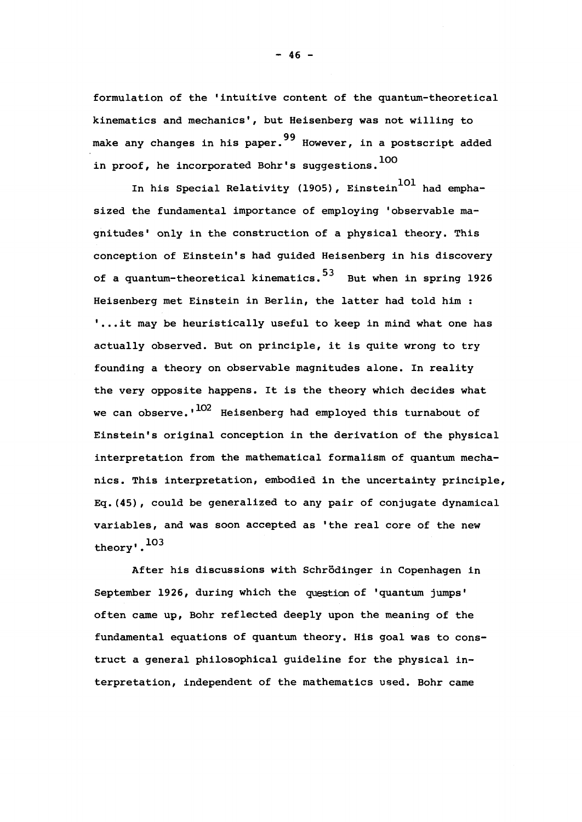formulation of the 'intuitive content of the quantum-theoretical kinematics and mechanics', but Heisenberg was not willing to make any changes in his paper.<sup>99</sup> However, in a postscript added in proof, he incorporated Bohr's suggestions.<sup>100</sup>

In his Special Relativity (1905), Einstein<sup>101</sup> had emphasized the fundamental importance of employing 'observable magnitudes' only in the construction of a physical theory. This conception of Einstein's had guided Heisenberg in his discovery of a quantum-theoretical kinematics.<sup>53</sup> But when in spring 1926 Heisenberg met Einstein in Berlin, the latter had told him : '... it may be heuristically useful to keep in mind what one has actually observed. But on principle, it is quite wrong to try founding a theory on observable magnitudes alone. In reality the very opposite happens. It is the theory which decides what we can observe.' $^{102}$  Heisenberg had employed this turnabout of Einstein's original conception in the derivation of the physical interpretation from the mathematical formalism of quantum mechanics. This interpretation, embodied in the uncertainty principle, Eq.(45), could be generalized to any pair of conjugate dynamical variables, and was soon accepted as 'the real core of the new theory'.

After his discussions with Schrôdinger in Copenhagen in September 1926, during which the question of 'quantum jumps' often came up, Bohr reflected deeply upon the meaning of the fundamental equations of quantum theory. His goal was to construct a general philosophical guideline for the physical interpretation, independent of the mathematics used. Bohr came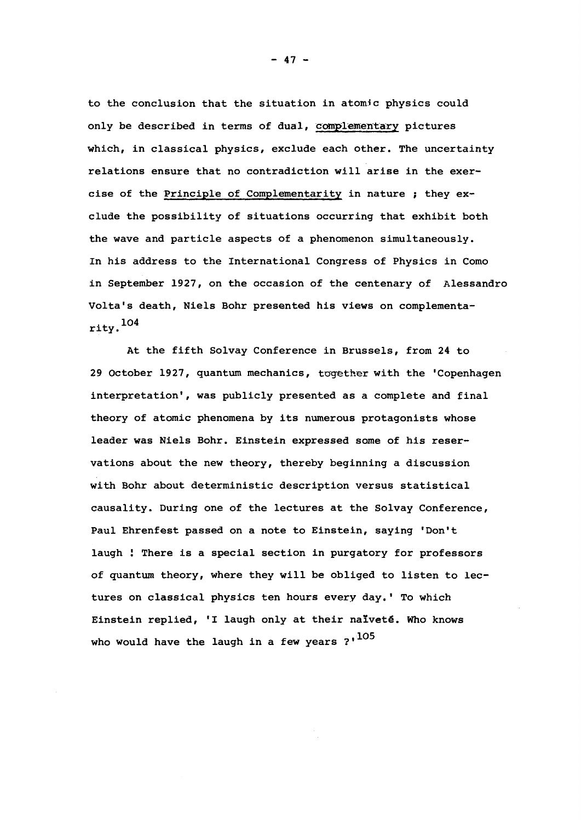to the conclusion that the situation in atomic physics could only be described in terms of dual, complementary pictures which, in classical physics, exclude each other. The uncertainty relations ensure that no contradiction will arise in the exercise of the Principle of Complementarity in nature ; they exclude the possibility of situations occurring that exhibit both the wave and particle aspects of a phenomenon simultaneously. In his address to the International Congress of Physics in Como in September 1927, on the occasion of the centenary of Alessandro Volta's death, Niels Bohr presented his views on complementa rity.<sup>104</sup>

At the fifth Solvay Conference in Brussels, from 24 to 29 October 1927, quantum mechanics, together with the 'Copenhagen interpretation', was publicly presented as a complete and final theory of atomic phenomena by its numerous protagonists whose leader was Niels Bohr. Einstein expressed some of his reservations about the new theory, thereby beginning a discussion with Bohr about deterministic description versus statistical causality. During one of the lectures at the Solvay Conference, Paul Ehrenfest passed on a note to Einstein, saying 'Don't laugh ! There is a special section in purgatory for professors of quantum theory, where they will be obliged to listen to lectures on classical physics ten hours every day.' To which Einstein replied, 'I laugh only at their naïveté. Who knows who would have the laugh in a few years  $?'$ <sup>105</sup>

 $- 47 -$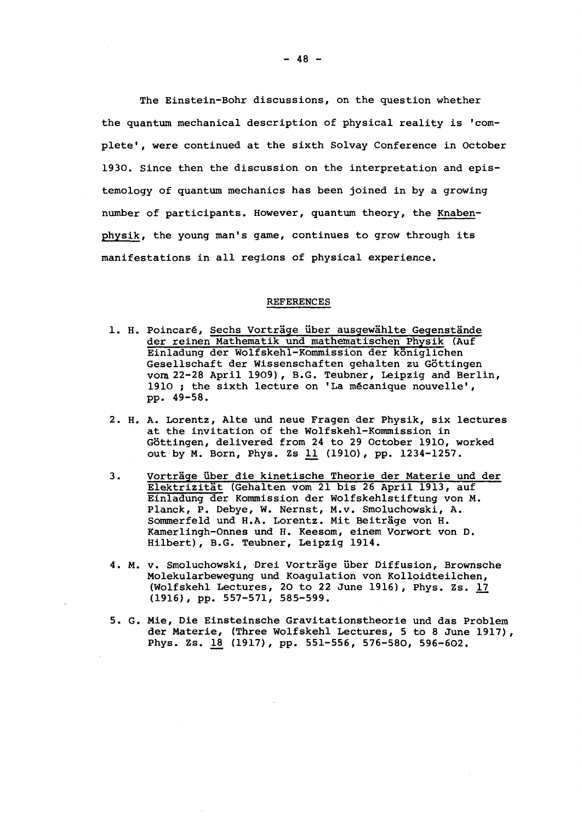The Einstein-Bohr discussions, on the question whether the quantum mechanical description of physical reality is 'complete', were continued at the sixth Solvay Conference in October 1930. Since then the discussion on the interpretation and epistemology of quantum mechanics has been joined in by a growing number of participants. However, quantum theory, the Knabenphysik, the young man's game, continues to grow through its manifestations in all regions of physical experience.

#### REFERENCES

- 1. H. Poincaré, Sechs Vorträge über ausgewählte Gegenstände der reinen Mathematik und mathematischeh Physik (Auf Einladung der Wolfskehl-Kommission der kôniglichen Gesellschaft der Wissenschaften gehalten zu Gôttingen vora 22-28 April 1909), B.G. Teubner, Leipzig and Berlin, 1910 ; the sixth lecture on 'La mécanique nouvelle', pp. 49-58.
- 2. H. A. Lorentz, Alte und neue Fragen der Physik, six lectures at the invitation of the Wolfskehl-Kommission in Göttingen, delivered from 24 to 29 October 1910, worked out by M. Born, Phys. Zs 11 (1910), pp. 1234-1257.
- 3. Vorträge über die kinetische Theorie der Materie und der Elektrizitât (Gehalten vom 21 bis 26 April 1913, auf Einladung der Kommission der Wolfskehlstiftung von M. Planck, P. Debye, W. Nernst, M.v. Smoluchowski, A. Sommerfeld und H.A. Lorentz. Mit Beiträge von H. Kamerlingh-Onnes und H. Keesom, einem Vorwort von D. Hilbert), B.G. Teubner, Leipzig 1914.
- 4. M. v. Smoluchowski, Drei Vortrâge liber Diffusion, Brownsche Molekularbewegung und Koagulation von Kolloidteilchen, (Wolfskehl Lectures, 20 to 22 June 1916), Phys. Zs. 17 (1916), pp. 557-571, 585-599.
- 5. G. Mie, Die Einsteinsche Gravitationstheorie und das Problem der Materie, (Three Wolfskehl Lectures, 5 to 8 June 1917), Phys. Zs. 18 (1917), pp. 551-556, 576-580, 596-602.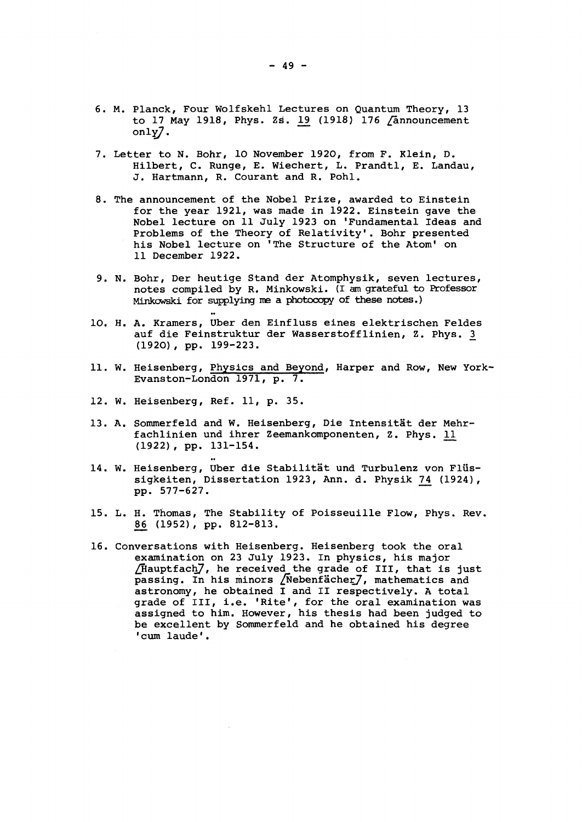- 6. M. Planck, Four Wolfskehl Lectures on Quantum Theory, 13 to 17 May 1918, Phys. Zs. 19 (1918) 176 /announcement only^.
- 7. Letter to N. Bohr, 10 November 1920, from F. Klein, D. Hilbert, C. Runge, E. Wiechert, L. Prandtl, E. Landau, J. Hartmann, R. Courant and R. Pohl.
- 8. The announcement of the Nobel Prize, awarded to Einstein for the year 1921, was made in 1922. Einstein gave the Nobel lecture on 11 July 1923 on "Fundamental Ideas and Problems of the Theory of Relativity'. Bohr presented his Nobel lecture on 'The Structure of the Atom' on 11 December 1922.
- 9. N. Bohr, Der heutige Stand der Atomphysik, seven lectures, notes compiled by R. Minkowski. (I am grateful to Professor Minkowski for supplying me a photocopy of these notes.)
- 10. H. A. Kramers, Uber den Einfluss eines elektrischen Feldes auf die Feinstruktur der Wasserstofflinien, Z. Phys. 3\_ (1920), pp. 199-223.
- 11. W. Heisenberg, Physics and Beyond, Harper and Row, New York-Evanston-London 1971, p. 7.
- 12. W. Heisenberg, Ref. 11, p. 35.
- 13. A. Sommerfeld and W. Heisenberg, Die Intensitât der Mehrfachlinien und ihrer Zeemankomponenten, Z. Phys. 11 (1922) , pp. 131-154.
- 14. W. Heisenberg, Uber die Stabilitat und Turbulenz von Flïïssigkeiten, Dissertation 1923, Ann. d. Physik 74 (1924), pp. 577-627.
- 15. L. H. Thomas, The Stability of Poisseuille Flow, Phys. Rev. 86. (1952), pp. 812-813.
- 16. Conversations with Heisenberg. Heisenberg took the oral examination on 23 July 1923. In physics, his major /Hauptfach7, he received the grade of III, that is just passing. In his minors /Nebenfâcher7, mathematics and astronomy, he obtained I and II respectively. A total grade of III, i.e. 'Rite', for the oral examination was assigned to him. However, his thesis had been judged to be excellent by Sommerfeld and he obtained his degree 'cum laude'.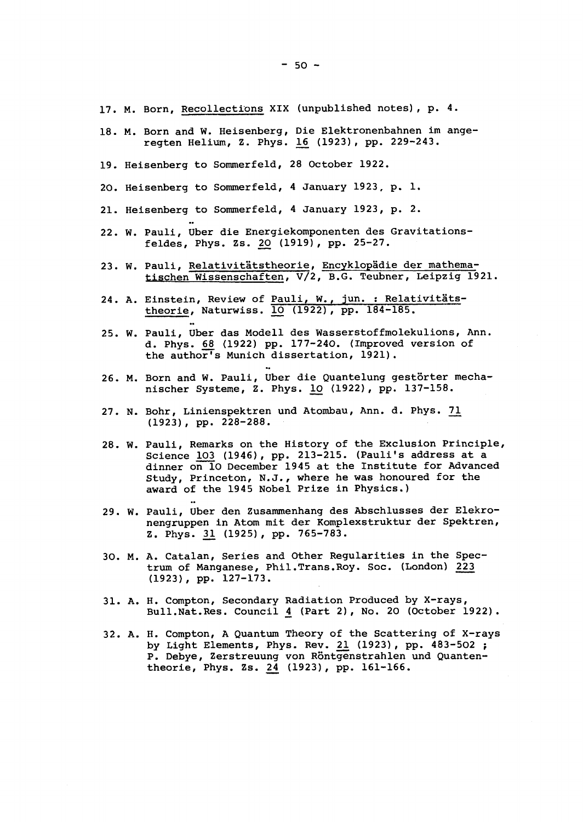- 17. M. Born, Recollections XIX (unpublished notes), p. 4.
- 18. M. Born and W. Heisenberg, Die Elektronenbahnen im ange-<br>regten Helium, Z. Phys. 16 (1923), pp. 229-243. regten Helium, Z. Phys. 1£ (1923), pp. 229-243.
- 19. Heisenberg to Sommerfeld, 28 October 1922.
- 20. Heisenberg to Sommerfeld, 4 January 1923, p. 1.
- 21. Heisenberg to Sommerfeld, 4 January 1923, p. 2.
- 22. W. Pauli, Uber die Energiekomponenten des Gravitations-<br>feldes, Phys. Zs. 20 (1919), pp. 25-27.
- 23. W. Pauli, Relativitätstheorie, Encyklopädie der mathematischen Wissenschaften, V/2, B.G. Teubner, Leipzig 1921.
- 24. A. Einstein, Review of Pauli, W., jun. : Relativitätstheorie, Naturwiss. 10 (1922), pp. 184-185.
- 25. W. Pauli, Uber das Modell des Wasserstoffmolekulions, Ann. d. Phys. 68 (1922) pp. 177-240. (Improved version of the author's Munich dissertation, 1921).
- 26. M. Born and W. Pauli, Uber die Quantelung gestôrter mechanischer Système, Z. Phys. 10 (1922), pp. 137-158.
- 27. N. Bohr, Linienspektren und Atombau, Ann. d. Phys. 71 (1923), pp. 228-288.
- 28. W. Pauli, Remarks on the History of the Exclusion Principle, Science 103 (1946), pp. 213-215. (Pauli's address at a dinner on 10 December 1945 at the Institute for Advanced Study, Princeton, N.J., where he was honoured for the award of the 1945 Nobel Prize in Physics.)
- 29. W. Pauli, Uber den Zusammenhang des Abschlusses der Elekronengruppen in Atom mit der Komplexstruktur der Spektren, z. Phys. 31 (1925), pp. 765-783.
- 30. M. A. Catalan, Series and Other Regularities in the Spectrum of Manganese, Phil.Trans.Roy. Soc. (London) 223 (1923), pp. 127-173.
- 31. A. H. Compton, Secondary Radiation Produced by X-rays, Bull.Nat.Res. Council 4 (Part 2), No. 20 (October 1922).
- 32. A. H. Compton, A Quantum Theory of the Scattering of X-rays by Light Elements, Phys. Rev. 21. (1923) , pp. 483-502 ; P. Debye, Zerstreuung von Rôntgenstrahlen und Quantentheorie, Phys. Zs. 24 (1923), pp. 161-166.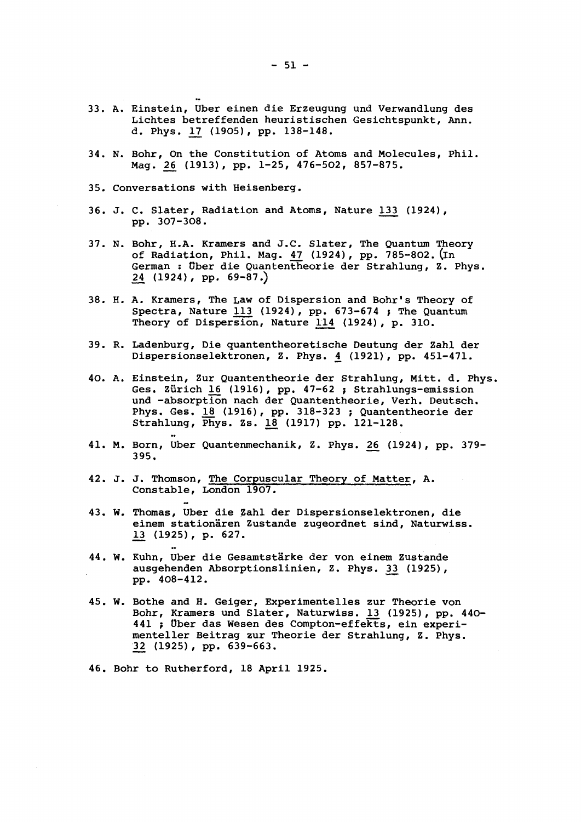- 33. A. Einstein, Uber einen die Erzeugung und Verwandlung des Lichtes betreffenden heuristischen Gesichtspunkt, Ann. d. Phys. 12 (1905), pp. 138-148.
- 34. N. Bohr, On the Constitution of Atoms and Molecules, Phil.<br>Mag. 26 (1913), pp. 1-25, 476-502, 857-875.
- 35. Conversations with Heisenberg.

pp. 307-308.<br>207-308. 307-308. 307-308. 307-308. 307-308. 307-308. 307-308. 307-308. 307-308. 307-308. 307-308. 307-308. 30

36. J. C. Slater, Radiation and Atoms, Nature 133 (1924), pp. 307-308.

Mag. 26 (1913), pp. 1-25, 476-502, 857-875.

- 37. N. Bohr, H.A. Kramers and J.C. Slater, The Quantum Theory of Radiation, Phil. Mag. 47 (1924), pp. 785-802. (In German : tîber die Quantentheorie der Strahlung, Z. Phys. 2£ (1924) , pp. 69-87.)
- 38. H. A. Kramers, The Law of Dispersion and Bohr's Theory of Spectra, Nature 113 (1924), pp. 673-674 ; The Quantum Theory of Dispersion, Nature 114 (1924) , p. 310.
- 39. R. Ladenburg, Die quantentheoretische Deutung der Zahl der Dispersionselektronen, Z. Phys. 4 (1921), pp. 451-471.
- 40. A. Einstein, Zur Quantentheorie der Strahlung, Mitt. d. Phys. Ges. Zürich 16 (1916), pp. 47-62 ; Strahlungs-emission und -absorption nach der Quantentheorie, Verh. Deutsch. Phys. Ges. 18 (1916), pp. 318-323 ; Quantentheorie der Strahlung, Phys. Zs. 18 (1917) pp. 121-128.
- 41. M. Born, Uber Quantenmechanik, Z. Phys. 26\_ (1924), pp. 379- 395.
- 42. J. J. Thomson, The Corpuscular Theory of Matter, A. Constable, London 1907.
- 43. W. Thomas, Uber die Zahl der Dispersionselektronen, die einem stationâren Zustande zugeordnet sind, Naturwiss. 13 (1925), p. 627.
- 44. W. Kuhn, Uber die Gesamtstärke der von einem Zustande ausgehenden Absorptionslinien, Z. Phys. 33 (1925), pp. 408-412.
- 45. W. Bothe and H. Geiger, Experimentelles zur Theorie von Bohr, Kramers und Slater, Naturwiss. 13 (1925), pp. 440-441 ; Uber das Wesen des Compton-effekts, ein experimenteller Beitrag zur Theorie der Strahlung, Z. Phys. 32 (1925), pp. 639-663.
- 46. Bohr to Rutherford, 18 April 1925.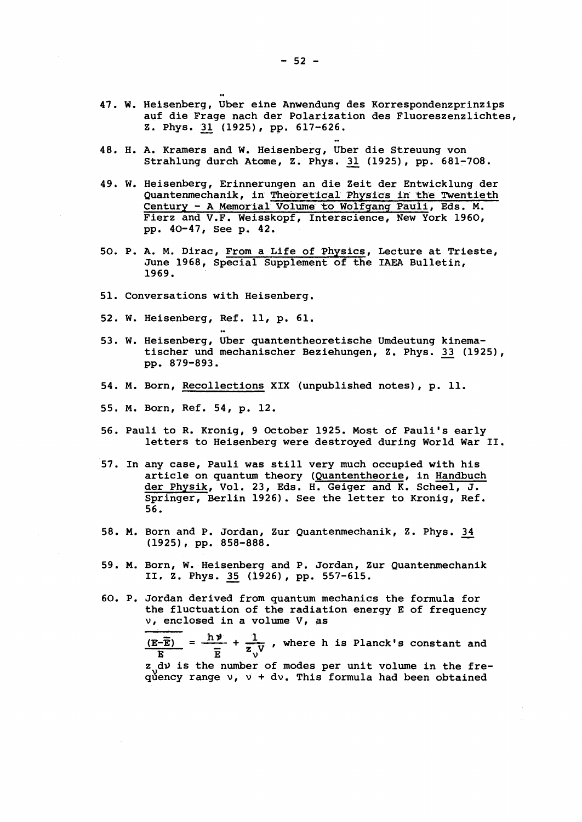- W. Heisenberg, Uber eine Anwendung des Korrespondenzprinzips auf die Frage nach der Polarization des Fluoreszenzlichtes, Z. Phys. 31 (1925), pp. 617-626.
- 48. H. A. Kramers and W. Heisenberg, Uber die Streuung von Strahlung durch Atome, Z. Phys. 31 (1925), pp. 681-708.
- W. Heisenberg, Erinnerungen an die Zeit der Entwicklung der Quantenmechanik, in Theoretical Physics in the Twentieth Century - A Memorial Volume to Wolfgang Pauli, Eds. M. Fierz and V.F. Weisskopf, Interscience, New York 1960, pp. 40-47, See p. 42.
- 50. P. A. M. Dirac, From a Life of Physics, Lecture at Trieste, June 1968, Special Supplement of the IAEA Bulletin, 1969.
- 51. Conversations with Heisenberg.
- 52. W. Heisenberg, Ref. 11, p. 61.
- W. Heisenberg, Uber quantentheoretische Umdeutung kinematischer und mechanischer Beziehungen, Z. Phys. 33 (1925), pp. 879-893.
- 54. M. Born, Recollections XIX (unpublished notes), p. 11.
- 55. M. Born, Ref. 54, p. 12.
- 56. Pauli to R. Kronig, 9 October 1925. Most of Pauli's early letters to Heisenberg were destroyed during World War II.
- 57. In any case, Pauli was still very much occupied with his article on quantum theory (Quantentheorie, in Handbuch der Physik, Vol. 23, Eds. H. Geiger and K. Scheel, J. Springer, Berlin 1926). See the letter to Kronig, Ref. 56.
- 58. M. Born and P. Jordan, Zur Quantenmechanik, Z. Phys. 34 (1925), pp. 858-888.
- 59. M. Born, W. Heisenberg and P. Jordan, Zur Quantenmechanik II, Z. Phys. 35 (1926), pp. 557-615.
- 60. P. Jordan derived from quantum mechanics the formula for the fluctuation of the radiation energy E of frequency v, enclosed in a volume V, as

 $(E-\overline{E})$  =  $\frac{1}{\sqrt{2}}$  +  $\frac{1}{\sqrt{1}}$ , where h is Planck's constant and  $\mathbf{E}$   $\mathbf{E}$   $\mathbf{V}$ z do is the number of modes per unit volume in the frequency range  $v_1$ ,  $v_1 + dv_2$ . This formula had been obtained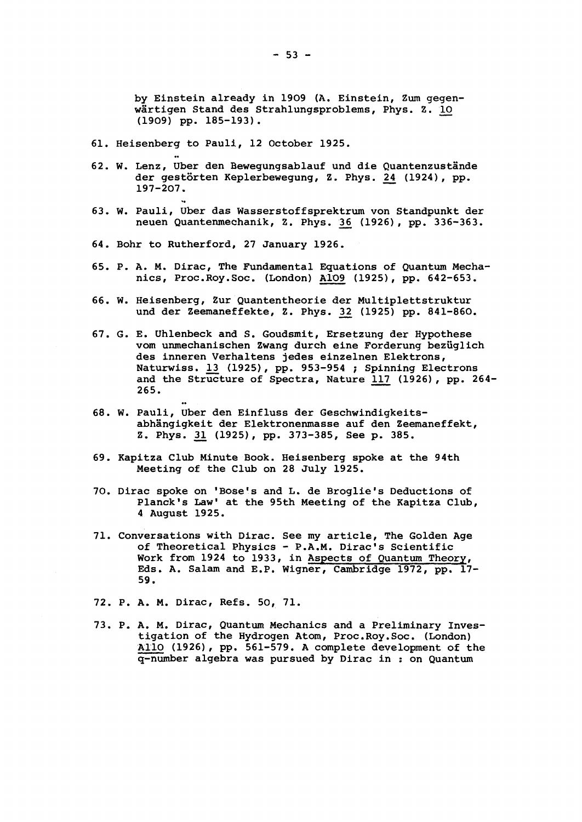by Einstein already in 1909 (A. Einstein, Zum gegenwartigen Stand des Strahlungsproblems, Phys. Z. 10 (1909) pp. 185-193).

- 61. Heisenberg to Pauli, 12 October 1925.
- 62. W. Lenz, Uber den Bewegungsablauf und die Quantenzustände der gestôrten Keplerbewegung, Z. Phys. £4 (1924), pp. 197-207.
- 63. W. Pauli, Uber das Wasserstoffsprektrum von Standpunkt der neuen Quantenmechanik, Z. Phys. 36 (1926), pp. 336-363.

neuen Quantenmechanik, Z. Phys. 3\_6 (1926) , pp. 336-363.

- 64. Bohr to Rutherford, 27 January 1926.
- 65. P. A. M. Dirac, The Fundamental Equations of Quantum Mechanics, Proc.Roy.Soc. (London) A109 (1925), pp. 642-653.
- 66. W. Heisenberg, Zur Quantentheorie der Multiplettstruktur und der Zeemaneffekte, Z. Phys. 32 (1925) pp. 841-860.
- 67. G. E. Uhlenbeck and S. Goudsmit, Ersetzung der Hypothèse vom unmechanischen Zwang durch eine Forderung beziiglich des inneren Verhaltens jedes einzelnen Elektrons, Naturwiss. 13 (1925), pp. 953-954 ; Spinning Electrons and the Structure of Spectra, Nature 117 (1926), pp. 264- 265.
- 68. W. Pauli, Uber den Einfluss der Geschwindigkeitsabhängigkeit der Elektronenmasse auf den Zeemaneffekt, Z. Phys. 31 (1925), pp. 373-385, See p. 385.
- 69. Kapitza Club Minute Book. Heisenberg spoke at the 94th Meeting of the Club on 28 July 1925.
- 70. Dirac spoke on 'Bose's and L. de Broglie's Deductions of Planck's Law' at the 95th Meeting of the Kapitza Club, 4 August 1925.
- 71. Conversations with Dirac. See my article, The Golden Age of Theoretical Physics - P.A.M. Dirac's Scientific Work from 1924 to 1933, in Aspects of Quantum Theory, Eds. A. Salam and E.P. Wigner, Cambridge 1972, pp. 17- 59.
- 72. P. A. M. Dirac, Refs. 50, 71.
- 73. P. A. M. Dirac, Quantum Mechanics and a Preliminary Investigation of the Hydrogen Atom, Proc.Roy.Soc. (London) Alio (1926), pp. 561-579. A complete development of the q-number algebra was pursued by Dirac in : on Quantum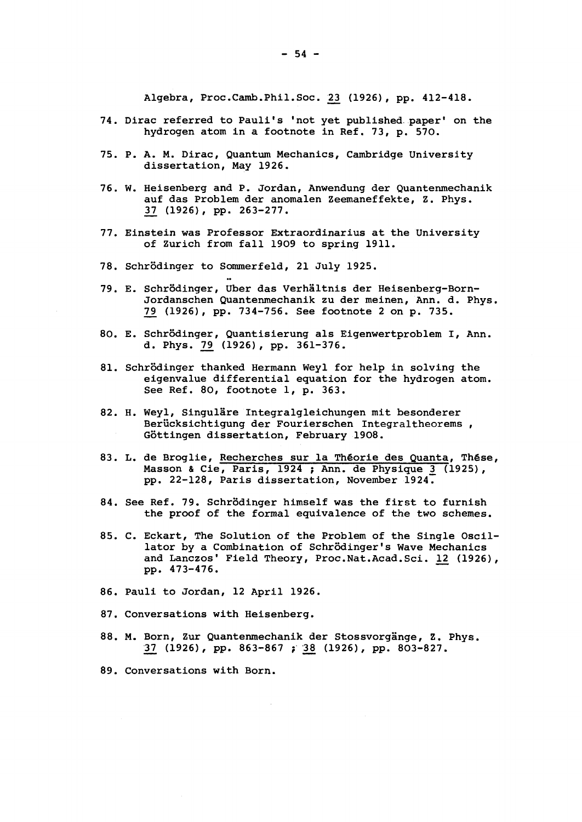Algebra, Proc.Camb.Phil.Soc. 23 (1926), pp. 412-418.

- 74. Dirac referred to Pauli's 'not yet published, paper' on the hydrogen atom in a footnote in Ref. 73, p. 570.
- 75. P. A. M. Dirac, Quantum Mechanics, Cambridge University dissertation, May 1926.
- 76. W. Heisenberg and P. Jordan, Anwendung der Quantenmechanik auf das Problem der anomalen Zeemaneffekte, Z. Phys. 3\_7 (1926) , pp. 263-277.
- 77. Einstein was Professor Extraordinarius at the University of Zurich from fall 1909 to spring 1911.
- 78. Schrbdinger to Sommerfeld, 21 July 1925.
- 79. E. Schrôdinger, Uber das Verhâltnis der Heisenberg-Born-Jordanschen Quantenmechanik zu der meinen, Ann. d. Phys. 79 (1926), pp. 734-756. See footnote 2 on p. 735.
- 80. E. Schrôdinger, Quantisierung als Eigenwertproblem I, Ann. d. Phys. 79 (1926), pp. 361-376.
- 81. Schrôdinger thanked Hermann Weyl for help in solving the eigenvalue differential equation for the hydrogen atom. See Ref. 80, footnote 1, p. 363.
- 82. H. Weyl, Singuläre Integralgleichungen mit besonderer Berücksichtigung der Fourierschen Integraltheorems, Gôttingen dissertation, February 1908.
- 83. L. de Broglie, Recherches sur la Théorie des Quanta, Thèse, Masson & Cie, Paris, 1924 ; Ann. de Physique 3 (1925), pp. 22-128, Paris dissertation, November 1924.
- 84. See Ref. 79. Schrôdinger himself was the first to furnish the proof of the formal equivalence of the two schemes.
- 85. C. Eckart, The Solution of the Problem of the Single Oscillator by a Combination of Schrôdinger's Wave Mechanics and Lanczos' Field Theory, Proc.Nat.Acad.Sci. 12 (1926), pp. 473-476.
- 86. Pauli to Jordan, 12 April 1926.
- 87. Conversations with Heisenberg.
- 88. M. Born, Zur Quantenmechanik der Stossvorgänge, Z. Phys. 37 (1926), pp. 863-867 ; 38 (1926), pp. 803-827.
- 89. Conversations with Born.

 $-54 -$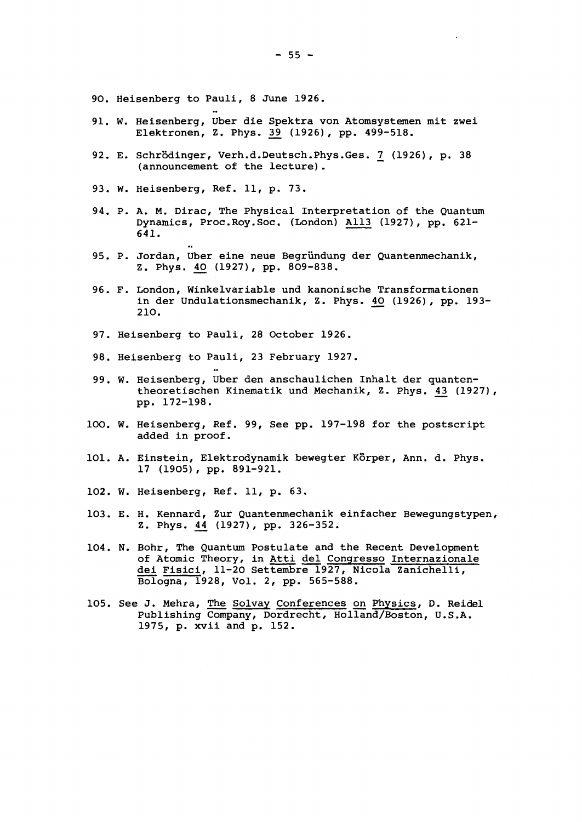- 90. Heisenberg to Pauli, 8 June 1926.
- 91. W. Heisenberg, Uber die Spektra von Atomsystemen mit zwei Elektronen, Z. Phys. 39 (1926), pp. 499-518.
- E. Schrôdinger, Verh.d.Deutsch.Phys.Ges. *1\_* (1926), p. 38 (announcement of the lecture).
- 93. W. Heisenberg, Ref. 11, p. 73.
- 94. P. A. M. Dirac, The Physical Interpretation of the Quantum Dynamics, Proc.Roy.Soc. (London) All3 (1927), pp. 621- 641.
- 95. P. Jordan, Uber eine neue Begründung der Quantenmechanik, Z. Phys. 40 (1927), pp. 809-838.
- F. London, Winkelvariable und kanonische Transformationen in der Undulationsmechanik, Z. Phys. 40 (1926), pp. 193-210.
- 97. Heisenberg to Pauli, 28 October 1926.
- 98. Heisenberg to Pauli, 23 February 1927.
- 99. W. Heisenberg, Uber den anschaulichen Inhalt der quantentheoretischen Kinematik und Mechanik, Z. Phys. 43 (1927), pp. 172-198.
- 100. W. Heisenberg, Ref. 99, See pp. 197-198 for the postscript added in proof.
- 101. A. Einstein, Elektrodynamik bewegter Körper, Ann. d. Phys. 17 (1905), pp. 891-921.
- 102. W. Heisenberg, Ref. 11, p. 63.
- E. H. Kennard, Zur Quantenmechanik einfacher Bewegungstypen, Z. Phys. 44 (1927), pp. 326-352.
- 104. N. Bohr, The Quantum Postulate and the Recent Development of Atomic Theory, in Atti del Congresso Internazionale dei Fisici, 11-20 Settembre 1927, Nicola Zanichelli, Bologna, 1928, Vol. 2, pp. 565-588.
- 105. See J. Mehra, The Solvay Conferences on Physics, D. Reidel Publishing Company, Dordrecht, Holland/Boston, U.S.A. 1975, p. xvii and p. 152.